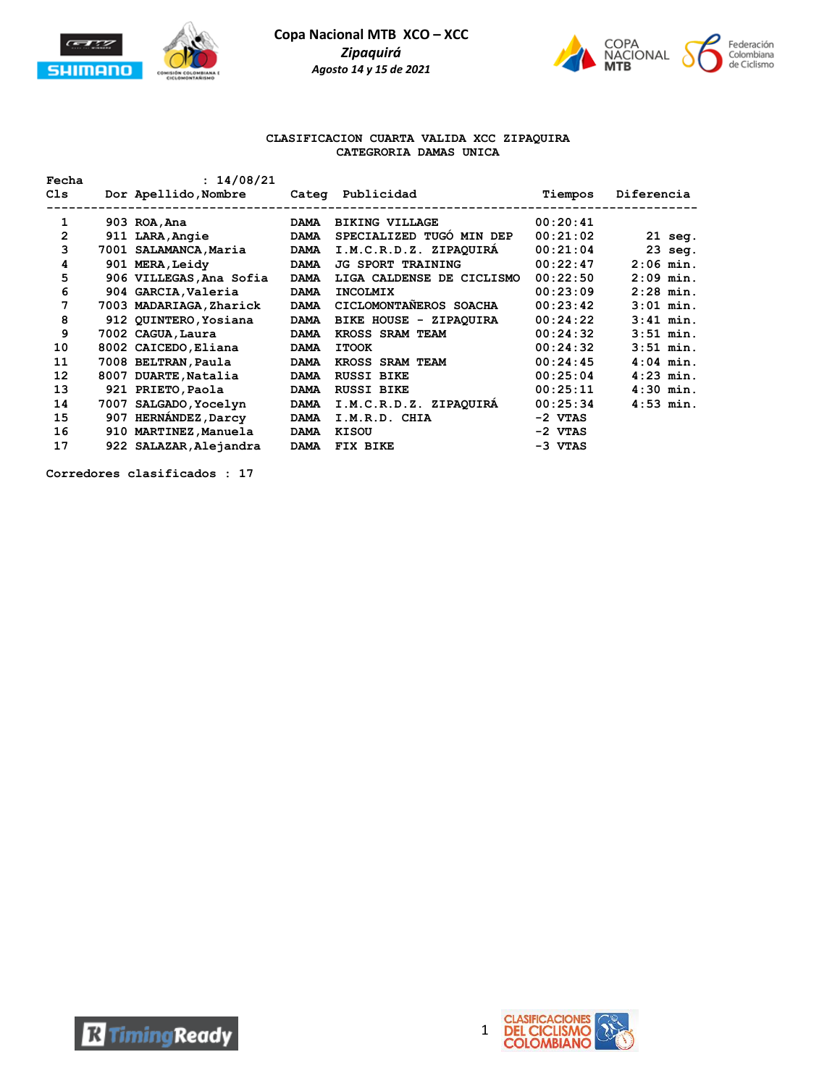



#### **CLASIFICACION CUARTA VALIDA XCC ZIPAQUIRA CATEGRORIA DAMAS UNICA**

| Fecha          |     | : 14/08/21              |             |                           |          |             |
|----------------|-----|-------------------------|-------------|---------------------------|----------|-------------|
| C1s            |     | Dor Apellido, Nombre    |             | Categ Publicidad          | Tiempos  | Diferencia  |
|                |     |                         |             |                           |          |             |
| 1              |     | 903 ROA, Ana            | <b>DAMA</b> | <b>BIKING VILLAGE</b>     | 00:20:41 |             |
| $\overline{2}$ |     | 911 LARA, Angie         | <b>DAMA</b> | SPECIALIZED TUGÓ MIN DEP  | 00:21:02 | $21$ seq.   |
| 3              |     | 7001 SALAMANCA,Maria    | <b>DAMA</b> | I.M.C.R.D.Z. ZIPAQUIRA    | 00:21:04 | $23$ seq.   |
| 4              |     | 901 MERA, Leidy         | <b>DAMA</b> | <b>JG SPORT TRAINING</b>  | 00:22:47 | $2:06$ min. |
| 5              |     | 906 VILLEGAS, Ana Sofia | <b>DAMA</b> | LIGA CALDENSE DE CICLISMO | 00:22:50 | $2:09$ min. |
| 6              |     | 904 GARCIA, Valeria     | <b>DAMA</b> | <b>INCOLMIX</b>           | 00:23:09 | $2:28$ min. |
| 7              |     | 7003 MADARIAGA, Zharick | <b>DAMA</b> | CICLOMONTANEROS SOACHA    | 00:23:42 | $3:01$ min. |
| 8              |     | 912 QUINTERO, Yosiana   | <b>DAMA</b> | BIKE HOUSE - ZIPAQUIRA    | 00:24:22 | $3:41$ min. |
| 9              |     | 7002 CAGUA, Laura       | <b>DAMA</b> | KROSS SRAM TEAM           | 00:24:32 | $3:51$ min. |
| 10             |     | 8002 CAICEDO, Eliana    | <b>DAMA</b> | <b>ITOOK</b>              | 00:24:32 | $3:51$ min. |
| 11             |     | 7008 BELTRAN, Paula     | <b>DAMA</b> | <b>KROSS SRAM TEAM</b>    | 00:24:45 | $4:04$ min. |
| 12             |     | 8007 DUARTE, Natalia    | <b>DAMA</b> | <b>RUSSI BIKE</b>         | 00:25:04 | $4:23$ min. |
| 13             |     | 921 PRIETO, Paola       | <b>DAMA</b> | <b>RUSSI BIKE</b>         | 00:25:11 | $4:30$ min. |
| 14             |     | 7007 SALGADO, Yocelyn   | <b>DAMA</b> | I.M.C.R.D.Z. ZIPAQUIRA    | 00:25:34 | $4:53$ min. |
| 15             | 907 | <b>HERNÁNDEZ, Darcy</b> | <b>DAMA</b> | I.M.R.D. CHIA             | -2 VTAS  |             |
| 16             |     | 910 MARTINEZ, Manuela   | <b>DAMA</b> | KISOU                     | -2 VTAS  |             |
| 17             |     | 922 SALAZAR, Alejandra  | <b>DAMA</b> | FIX BIKE                  | -3 VTAS  |             |

**Corredores clasificados : 17**

**R** Timing Ready



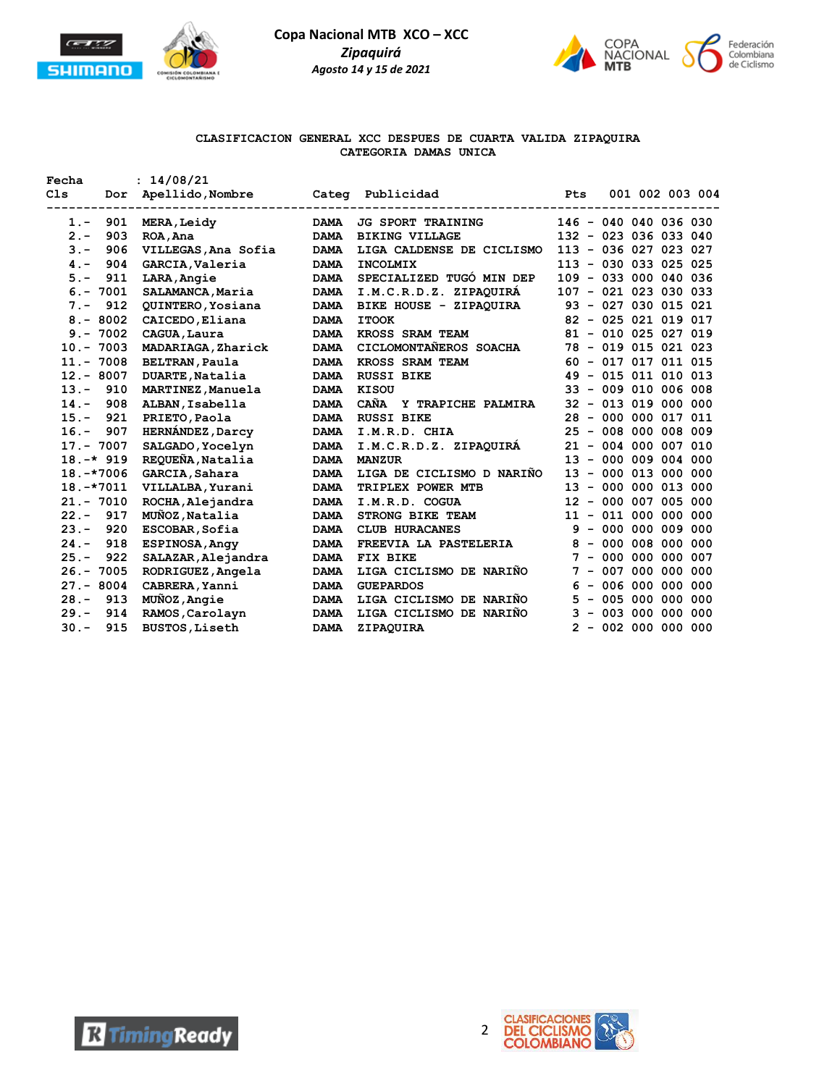

**Fecha : 14/08/21**

**Copa Nacional MTB XCO – XCC** *Zipaquirá Agosto 14 y 15 de 2021*



# **CLASIFICACION GENERAL XCC DESPUES DE CUARTA VALIDA ZIPAQUIRA CATEGORIA DAMAS UNICA**

| C1s             | Dor | Apellido, Nombre        | Categ       | Publicidad                | Pts                    |  |                       | 001 002 003 004 |
|-----------------|-----|-------------------------|-------------|---------------------------|------------------------|--|-----------------------|-----------------|
| $1 -$           | 901 | MERA, Leidy             | <b>DAMA</b> | <b>JG SPORT TRAINING</b>  | 146 - 040 040 036 030  |  |                       |                 |
| $2 -$           | 903 | ROA, Ana                | <b>DAMA</b> | <b>BIKING VILLAGE</b>     | 132 - 023 036 033 040  |  |                       |                 |
| $3 -$           | 906 | VILLEGAS, Ana Sofia     | <b>DAMA</b> | LIGA CALDENSE DE CICLISMO | 113 - 036 027 023 027  |  |                       |                 |
| $4 -$           | 904 | GARCIA, Valeria         | <b>DAMA</b> | <b>INCOLMIX</b>           | 113 - 030 033 025 025  |  |                       |                 |
| $5. -$          | 911 | LARA, Angie             | <b>DAMA</b> | SPECIALIZED TUGÓ MIN DEP  | 109 - 033 000 040 036  |  |                       |                 |
| $6. - 7001$     |     | SALAMANCA, Maria        | <b>DAMA</b> | I.M.C.R.D.Z. ZIPAQUIRA    | 107 - 021 023 030 033  |  |                       |                 |
| $7 -$           | 912 | QUINTERO, Yosiana       | <b>DAMA</b> | BIKE HOUSE - ZIPAOUIRA    | 93 - 027 030 015 021   |  |                       |                 |
| $8 - 8002$      |     | CAICEDO, Eliana         | <b>DAMA</b> | <b>ITOOK</b>              | 82 - 025 021 019 017   |  |                       |                 |
| 7002<br>$9 -$   |     | CAGUA, Laura            | <b>DAMA</b> | KROSS SRAM TEAM           | 81 - 010 025 027 019   |  |                       |                 |
| $10. - 7003$    |     | MADARIAGA, Zharick      | <b>DAMA</b> | CICLOMONTAÑEROS SOACHA    | 78 - 019 015 021 023   |  |                       |                 |
| $11. - 7008$    |     | <b>BELTRAN, Paula</b>   | <b>DAMA</b> | KROSS SRAM TEAM           | $60 - 017 017 011 015$ |  |                       |                 |
| $12 - 8007$     |     | DUARTE, Natalia         | <b>DAMA</b> | <b>RUSSI BIKE</b>         | 49                     |  | $-015011010013$       |                 |
| $13 -$          | 910 | MARTINEZ, Manuela       | <b>DAMA</b> | KISOU                     | 33 - 009 010 006 008   |  |                       |                 |
| $14. -$         | 908 | ALBAN, Isabella         | <b>DAMA</b> | CAÑA Y TRAPICHE PALMIRA   | 32                     |  | $-013019000000$       |                 |
| $15. -$         | 921 | PRIETO, Paola           | <b>DAMA</b> | <b>RUSSI BIKE</b>         | 28                     |  | $-0000000017011$      |                 |
| $16. -$         | 907 | <b>HERNANDEZ, Darcy</b> | <b>DAMA</b> | I.M.R.D. CHIA             | 25                     |  | $-008000008009$       |                 |
| $17. - 7007$    |     | SALGADO, Yocelyn        | <b>DAMA</b> | I.M.C.R.D.Z. ZIPAQUIRA    | 21                     |  | $-004000007010$       |                 |
| $18. -* 919$    |     | REQUEÑA, Natalia        | <b>DAMA</b> | <b>MANZUR</b>             | 13                     |  | $-000009004000$       |                 |
| $18.-*7006$     |     | GARCIA, Sahara          | <b>DAMA</b> | LIGA DE CICLISMO D NARIÑO | 13                     |  | $-000013000000$       |                 |
| $18. -*7011$    |     | VILLALBA, Yurani        | <b>DAMA</b> | TRIPLEX POWER MTB         | 13                     |  | $-0000000013000$      |                 |
| $21. - 7010$    |     | ROCHA, Alejandra        | <b>DAMA</b> | I.M.R.D. COGUA            | $12 \overline{ }$      |  | $-000007005000$       |                 |
| $22 -$<br>917   |     | MUNOZ, Natalia          | <b>DAMA</b> | STRONG BIKE TEAM          | 11 - 011 000 000 000   |  |                       |                 |
| $23 -$          | 920 | ESCOBAR, Sofia          | <b>DAMA</b> | <b>CLUB HURACANES</b>     |                        |  | $9 - 000 000 009 000$ |                 |
| $24. -$         | 918 | ESPINOSA, Angy          | <b>DAMA</b> | FREEVIA LA PASTELERIA     | 8                      |  | $-000008000000$       |                 |
| $25. -$         | 922 | SALAZAR, Alejandra      | <b>DAMA</b> | FIX BIKE                  | 7                      |  | $-0000000000007$      |                 |
| 7005<br>$26. -$ |     | RODRIGUEZ, Angela       | <b>DAMA</b> | LIGA CICLISMO DE NARIÑO   | 7<br>$\qquad \qquad -$ |  | 007 000 000 000       |                 |
| $27 - 8004$     |     | CABRERA, Yanni          | <b>DAMA</b> | <b>GUEPARDOS</b>          |                        |  | $6 - 006 000 000 000$ |                 |
| $28 -$          | 913 | MUÑOZ, Angie            | <b>DAMA</b> | LIGA CICLISMO DE NARIÑO   | 5.                     |  | $-005000000000$       |                 |
| $29. -$         | 914 | RAMOS, Carolayn         | <b>DAMA</b> | LIGA CICLISMO DE NARIÑO   | 3                      |  | $-003000000000$       |                 |
| $30 -$          | 915 | <b>BUSTOS, Liseth</b>   | <b>DAMA</b> | ZIPAQUIRA                 | $\mathbf{2}^{\prime}$  |  | $-002000000000$       |                 |



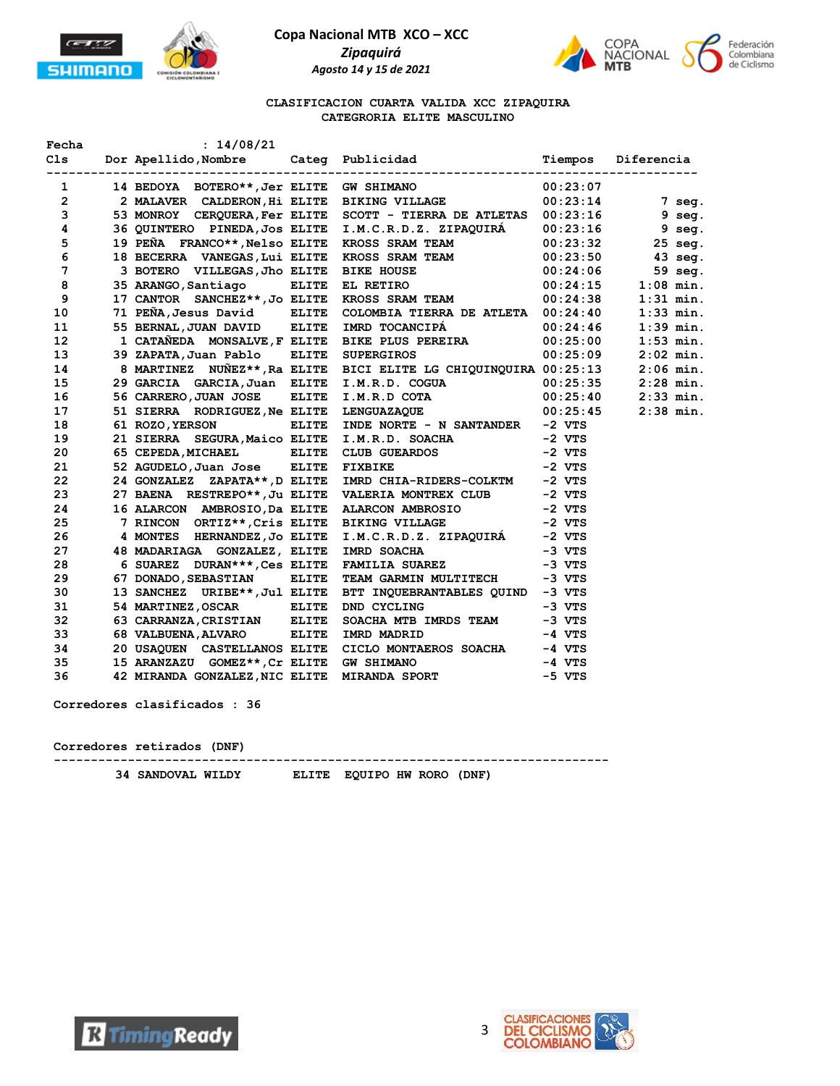





#### **CLASIFICACION CUARTA VALIDA XCC ZIPAQUIRA CATEGRORIA ELITE MASCULINO**

|                 | Fecha : $14/08/21$            |                                                                                                                                                                                                                                            |          |             |
|-----------------|-------------------------------|--------------------------------------------------------------------------------------------------------------------------------------------------------------------------------------------------------------------------------------------|----------|-------------|
|                 |                               | 1 14 BEDOYA BOTERO**, Jer ELITE GW SHIMANO 100:23:07<br>2 2 MALAVER CALDERON, Hi ELITE BIKING VILLAGE 100:23:14<br>2 2 MALAVER CALDERON, Hi ELITE BIKING VILLAGE 100:23:14                                                                 |          |             |
|                 |                               |                                                                                                                                                                                                                                            |          |             |
| $3^{\circ}$     |                               | 53 MONROY CERQUERA, Fer ELITE SCOTT - TIERRA DE ATLETAS 00:23:16 9 seg.                                                                                                                                                                    |          |             |
| $4^{\circ}$     |                               | 36 QUINTERO PINEDA, Jos ELITE I.M.C.R.D.Z. ZIPAQUIRÁ 00:23:16 9 seg.<br>19 PEÑA FRANCO**, Nelso ELITE KROSS SRAM TEAM 00:23:32 25 seg.<br>18 BECERRA VANEGAS, Lui ELITE KROSS SRAM TEAM 00:23:50 43 seg.<br>3 BOTERO VILLEGAS, Jho ELIT    |          |             |
| 5               |                               |                                                                                                                                                                                                                                            |          |             |
| 6               |                               |                                                                                                                                                                                                                                            |          |             |
| 7               |                               |                                                                                                                                                                                                                                            |          |             |
| 8               |                               |                                                                                                                                                                                                                                            |          |             |
| 9               |                               |                                                                                                                                                                                                                                            |          |             |
| 10              |                               | 71 PEÑA, Jesus David ELITE COLOMBIA TIERRA DE ATLETA 00:24:40                                                                                                                                                                              |          | $1:33$ min. |
| 11              |                               | 55 BERNAL, JUAN DAVID ELITE IMRD TOCANCIPÁ (00:24:46)                                                                                                                                                                                      |          | $1:39$ min. |
| 12 <sup>2</sup> |                               | 1 CATAÑEDA MONSALVE, FELITE BIKE PLUS PEREIRA $00:25:00$                                                                                                                                                                                   |          | $1:53$ min. |
| 13 <sup>7</sup> |                               | 39 ZAPATA, Juan Pablo ELITE SUPERGIROS 00:25:09                                                                                                                                                                                            |          | $2:02$ min. |
| 14              |                               |                                                                                                                                                                                                                                            |          |             |
| 15              |                               | 8 MARTINEZ NUÑEZ**, RA ELITE BICI ELITE LG CHIQUINQUIRA 00:25:13 2:06 min.<br>29 GARCIA GARCIA, Juan ELITE I.M.R.D. COGUA 00:25:35 2:28 min.<br>56 CARRERO, JUAN JOSE ELITE I.M.R.D COTA 00:25:40 2:33 min.<br>51 SIERRA RODRIGUEZ, Ne     |          |             |
| 16              |                               |                                                                                                                                                                                                                                            |          |             |
| 17              |                               |                                                                                                                                                                                                                                            |          |             |
| 18              |                               | 61 ROZO, YERSON ELITE INDE NORTE - N SANTANDER -2 VTS                                                                                                                                                                                      |          |             |
| 19              |                               | 21 SIERRA SEGURA, Maico ELITE I.M.R.D. SOACHA -2 VTS<br>65 CEPEDA, MICHAEL ELITE CLUB GUEARDOS -2 VTS<br>52 AGUDELO, Juan Jose ELITE FIXBIKE -2 VTS                                                                                        |          |             |
|                 |                               |                                                                                                                                                                                                                                            |          |             |
| 21 —            |                               |                                                                                                                                                                                                                                            |          |             |
| 22              | 24 GONZALEZ ZAPATA**, D ELITE | IMRD CHIA-RIDERS-COLKTM -2 VTS                                                                                                                                                                                                             |          |             |
| 23              |                               |                                                                                                                                                                                                                                            |          |             |
| 24 7            |                               |                                                                                                                                                                                                                                            |          |             |
| 25              |                               |                                                                                                                                                                                                                                            |          |             |
| 26              |                               | 27 BAENA RESTREPO**, Ju ELITE VALERIA MONTREX CLUB -2 VTS<br>16 ALARCON AMBROSIO, DA ELITE ALARCON AMBROSIO -2 VTS<br>7 RINCON ORTIZ**, Cris ELITE BIKING VILLAGE -2 VTS<br>4 MONTES HERNANDEZ, JO ELITE I.M.C.R.D.Z. ZIPAQUIRÁ -2 VTS<br> |          |             |
| 27              |                               |                                                                                                                                                                                                                                            |          |             |
| 28              |                               |                                                                                                                                                                                                                                            |          |             |
| 29              | 67 DONADO, SEBASTIAN ELITE    | TEAM GARMIN MULTITECH -3 VTS                                                                                                                                                                                                               |          |             |
| 30              | 13 SANCHEZ URIBE**, Jul ELITE | BTT INQUEBRANTABLES QUIND -3 VTS                                                                                                                                                                                                           |          |             |
| 31              | 54 MARTINEZ, OSCAR ELITE      | $-3 VTS$<br>DND CYCLING                                                                                                                                                                                                                    |          |             |
| 32              | 63 CARRANZA, CRISTIAN ELITE   | SOACHA MTB IMRDS TEAM -3 VTS                                                                                                                                                                                                               |          |             |
| 33              | 68 VALBUENA, ALVARO ELITE     | IMRD MADRID                                                                                                                                                                                                                                | $-4$ VTS |             |
| 34              |                               |                                                                                                                                                                                                                                            |          |             |
| 35              |                               |                                                                                                                                                                                                                                            |          |             |
| 36              |                               | 20 USAQUEN CASTELLANOS ELITE CICLO MONTAEROS SOACHA -4 VTS<br>15 ARANZAZU GOMEZ**, Cr ELITE GW SHIMANO -4 VTS<br>42 MIRANDA GONZALEZ, NIC ELITE MIRANDA SPORT -5 VTS                                                                       |          |             |

**Corredores clasificados : 36**

# **Corredores retirados (DNF)**

**---------------------------------------------------------------------------**

 **34 SANDOVAL WILDY ELITE EQUIPO HW RORO (DNF)**



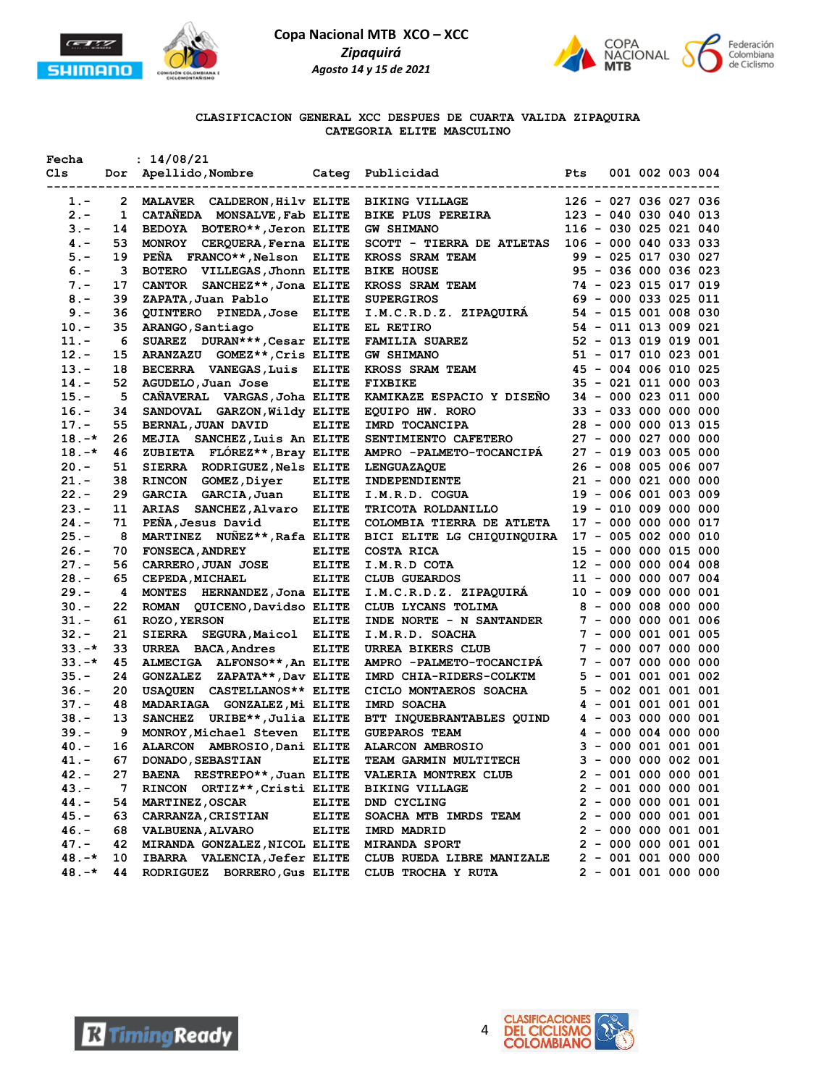



**CLASIFICACION GENERAL XCC DESPUES DE CUARTA VALIDA ZIPAQUIRA CATEGORIA ELITE MASCULINO**

| Dor Apellido, Nombre Categ Publicidad<br>Cls<br>Pts<br>001 002 003 004<br>------------------------<br>2 MALAVER CALDERON, Hilv ELITE BIKING VILLAGE<br>126 - 027 036 027 036<br>$1. -$<br>$2 -$<br>1 CATAÑEDA MONSALVE, Fab ELITE BIKE PLUS PEREIRA 123 - 040 030 040 013<br>14 BEDOYA BOTERO**, Jeron ELITE GW SHIMANO 116 - 030 025 021 040<br>$3 -$<br>14<br>MONROY CERQUERA, Ferna ELITE<br>SCOTT - TIERRA DE ATLETAS 106 - 000 040 033 033<br>$4 -$<br>53<br><b>KROSS SRAM TEAM<br/>BIKE HOUSE<br/>KROSS SRAM TEAM</b><br>PEÑA FRANCO**, Nelson ELITE<br>$5. -$<br>19<br>99 - 025 017 030 027<br>$6. -$<br>BOTERO VILLEGAS, Jhonn ELITE<br>95 - 036 000 036 023<br>$\mathbf{3}$<br>CANTOR SANCHEZ**, Jona ELITE<br>74 - 023 015 017 019<br>$7 -$<br>17<br>NKUSS SIVERSIROS<br>SUPERGIROS<br>I.M.C.R.D.Z. ZIPAQUIRÁ<br>69 - 000 033 025 011<br>$8 -$<br>39<br>ZAPATA, Juan Pablo ELITE<br>QUINTERO PINEDA, Jose ELITE<br>54 - 015 001 008 030<br>$9 -$<br>36<br>ARANGO, Santiago ELITE<br>54 - 011 013 009 021<br>$10. -$<br>35<br><b>EL RETIRO<br/>FAMILIA SUAREZ<br/>GW SHIMANO<br/>KROSS SRAM TEAM<br/>FTYRIKE</b><br>SUAREZ DURAN***, Cesar ELITE<br>52 - 013 019 019 001<br>$11. -$<br>- 6<br>$12. -$<br>ARANZAZU GOMEZ**, Cris ELITE<br>51 - 017 010 023 001<br>15<br>$13. -$<br>BECERRA VANEGAS, Luis ELITE<br>45 - 004 006 010 025<br>18<br>$14. -$<br><b>ELITE</b><br>35 - 021 011 000 003<br>52<br>AGUDELO, Juan Jose<br>CAÑAVERAL VARGAS, Joha ELITE KAMIKAZE ESPACIO Y DISEÑO<br>$15. -$<br>34 - 000 023 011 000<br>5<br>$16. -$<br>SANDOVAL GARZON, Wildy ELITE EQUIPO HW. RORO<br>33 - 033 000 000 000<br>34<br>BERNAL, JUAN DAVID<br><b>ELITE</b><br>28 - 000 000 013 015<br>$17. -$<br>55<br>IMRD TOCANCIPA<br>27 - 000 027 000 000<br>$18. -*$<br>MEJIA SANCHEZ, Luis An ELITE<br>MEJIA SANCHEZ, Luis An ELITE SENTIMIENTO CAFETERO<br>ZUBIETA FLÓREZ**, Bray ELITE AMPRO -PALMETO-TOCANCIPÁ<br>26<br>$18. -*$<br>27 - 019 003 005 000<br>46<br>26 - 008 005 006 007<br>$20 -$<br>51<br>SIERRA RODRIGUEZ, Nels ELITE<br><b>LENGUAZAQUE</b><br><b>INDEPENDIENTE</b><br>RINCON GOMEZ, Diyer ELITE<br>21 - 000 021 000 000<br>$21 -$<br>38<br>$22 -$<br>29<br>GARCIA GARCIA, Juan ELITE<br>19 - 006 001 003 009<br>I.M.R.D. COGUA<br>TRICOTA ROLDANILLO<br>ARIAS SANCHEZ, Alvaro ELITE<br>$23 -$<br>19 - 010 009 000 000<br>11<br>$24. -$<br>PEÑA, Jesus David ELITE<br>17 - 000 000 000 017<br>71<br>COLOMBIA TIERRA DE ATLETA<br>MARTINEZ NUÑEZ**, Rafa ELITE<br>$25. -$<br>BICI ELITE LG CHIQUINQUIRA 17 - 005 002 000 010<br>- 8<br><b>ELITE</b><br>COSTA RICA $15 - 000\ 000\ 015\ 000$<br>I.M.R.D COTA $12 - 000\ 000\ 004\ 008$<br>CLUB GUEARDOS $11 - 000\ 000\ 007\ 004$<br>I.M.C.R.D.Z. ZIPAQUIRÁ $10 - 009\ 000\ 000\ 001$<br>$26. -$<br>70<br><b>FONSECA, ANDREY</b><br>CARRERO, JUAN JOSE ELITE<br>$27. -$<br>56<br>$28 -$<br><b>ELITE</b><br>65<br><b>CEPEDA, MICHAEL</b><br>$29. -$<br>4<br>MONTES HERNANDEZ, Jona ELITE<br>CLUB LYCANS TOLIMA<br>$30. -$<br>ROMAN QUICENO, Davidso ELITE<br>8 - 000 008 000 000<br>22<br>INDE NORTE - N SANTANDER $7 - 000000001006$<br><b>ELITE</b><br>$31 -$<br>61<br><b>ROZO, YERSON</b><br>I.M.R.D. SOACHA<br>URREA BIKERS CLUB 7 - 000 007 000 000<br>$32 -$<br>21<br>SIERRA SEGURA, Maicol ELITE<br>$33. -*$<br><b>ELITE</b><br>33<br>URREA BACA, Andres<br>AMPRO -PALMETO-TOCANCIPÁ 7 - 007 000 000 000<br>$33. -*$<br>ALMECIGA ALFONSO**, An ELITE<br>45<br>$\begin{tabular}{lllllllllll} \texttt{IMRD CHIA-RIDERS-COLKTM} & \multicolumn{2}{l}{}5 - 001 001 001 002 \\ \texttt{CICLO MOMTAEROS SOACHA} & \multicolumn{2}{l}{}5 - 002 001 001 001 \\ \end{tabular}$<br>$35. -$<br>24<br>GONZALEZ ZAPATA**, Dav ELITE<br>$36. -$<br>20<br>USAQUEN CASTELLANOS ** ELITE<br>MADARIAGA GONZALEZ, Mi ELITE<br>4 - 001 001 001 001<br>$37 -$<br>48<br>IMRD SOACHA<br>BTT INQUEBRANTABLES QUIND $4 - 003 000 000 001$<br>GUEPAROS TEAM $4 - 000 004 000 000$<br>ALARCON AMBROSIO $3 - 000 001 001 001$<br>$38. -$<br>SANCHEZ URIBE**, Julia ELITE<br>13<br>$39. -$<br>- 9<br>MONROY, Michael Steven ELITE<br>ALARCON AMBROSIO, Dani ELITE<br>$40 -$<br>16<br>TEAM GARMIN MULTITECH<br>67<br>DONADO, SEBASTIAN ELITE<br>$3 - 0000000002001$<br>$41. -$<br>$2 - 001 000 000 001$<br>42.-<br>BAENA RESTREPO**, Juan ELITE<br>27<br><b>VALERIA MONTREX CLUB</b><br>$43 -$<br>RINCON ORTIZ**, Cristi ELITE<br>$2 - 001 000 000 001$<br>7<br><b>BIKING VILLAGE</b><br>$2 - 000000001001$<br>44.-<br>54<br><b>MARTINEZ, OSCAR</b><br><b>ELITE</b><br>DND CYCLING<br>$45. -$<br>63<br><b>ELITE</b><br>$2 - 000000001001$<br><b>CARRANZA, CRISTIAN</b><br>SOACHA MTB IMRDS TEAM<br>$46. -$<br>$2 - 000 000 001 001$<br>68<br><b>VALBUENA, ALVARO</b><br><b>ELITE</b><br>IMRD MADRID<br>$47. -$<br>$2 - 000000001001$<br>42<br>MIRANDA GONZALEZ, NICOL ELITE<br><b>MIRANDA SPORT</b> | Fecha | : 14/08/21 |  |  |  |  |
|-----------------------------------------------------------------------------------------------------------------------------------------------------------------------------------------------------------------------------------------------------------------------------------------------------------------------------------------------------------------------------------------------------------------------------------------------------------------------------------------------------------------------------------------------------------------------------------------------------------------------------------------------------------------------------------------------------------------------------------------------------------------------------------------------------------------------------------------------------------------------------------------------------------------------------------------------------------------------------------------------------------------------------------------------------------------------------------------------------------------------------------------------------------------------------------------------------------------------------------------------------------------------------------------------------------------------------------------------------------------------------------------------------------------------------------------------------------------------------------------------------------------------------------------------------------------------------------------------------------------------------------------------------------------------------------------------------------------------------------------------------------------------------------------------------------------------------------------------------------------------------------------------------------------------------------------------------------------------------------------------------------------------------------------------------------------------------------------------------------------------------------------------------------------------------------------------------------------------------------------------------------------------------------------------------------------------------------------------------------------------------------------------------------------------------------------------------------------------------------------------------------------------------------------------------------------------------------------------------------------------------------------------------------------------------------------------------------------------------------------------------------------------------------------------------------------------------------------------------------------------------------------------------------------------------------------------------------------------------------------------------------------------------------------------------------------------------------------------------------------------------------------------------------------------------------------------------------------------------------------------------------------------------------------------------------------------------------------------------------------------------------------------------------------------------------------------------------------------------------------------------------------------------------------------------------------------------------------------------------------------------------------------------------------------------------------------------------------------------------------------------------------------------------------------------------------------------------------------------------------------------------------------------------------------------------------------------------------------------------------------------------------------------------------------------------------------------------------------------------------------------------------------------------------------------------------------------------------------------------------------------------------------------------------------------------------------------------------------------------------------------------------------------------------------------------------------------------------------------------------------------------------------------------------------------------------------------------------------------------------------------------------------------------------------------------------------------------------------------------------------------------------------------------------------------------------------------------------------|-------|------------|--|--|--|--|
|                                                                                                                                                                                                                                                                                                                                                                                                                                                                                                                                                                                                                                                                                                                                                                                                                                                                                                                                                                                                                                                                                                                                                                                                                                                                                                                                                                                                                                                                                                                                                                                                                                                                                                                                                                                                                                                                                                                                                                                                                                                                                                                                                                                                                                                                                                                                                                                                                                                                                                                                                                                                                                                                                                                                                                                                                                                                                                                                                                                                                                                                                                                                                                                                                                                                                                                                                                                                                                                                                                                                                                                                                                                                                                                                                                                                                                                                                                                                                                                                                                                                                                                                                                                                                                                                                                                                                                                                                                                                                                                                                                                                                                                                                                                                                                                                                                               |       |            |  |  |  |  |
|                                                                                                                                                                                                                                                                                                                                                                                                                                                                                                                                                                                                                                                                                                                                                                                                                                                                                                                                                                                                                                                                                                                                                                                                                                                                                                                                                                                                                                                                                                                                                                                                                                                                                                                                                                                                                                                                                                                                                                                                                                                                                                                                                                                                                                                                                                                                                                                                                                                                                                                                                                                                                                                                                                                                                                                                                                                                                                                                                                                                                                                                                                                                                                                                                                                                                                                                                                                                                                                                                                                                                                                                                                                                                                                                                                                                                                                                                                                                                                                                                                                                                                                                                                                                                                                                                                                                                                                                                                                                                                                                                                                                                                                                                                                                                                                                                                               |       |            |  |  |  |  |
|                                                                                                                                                                                                                                                                                                                                                                                                                                                                                                                                                                                                                                                                                                                                                                                                                                                                                                                                                                                                                                                                                                                                                                                                                                                                                                                                                                                                                                                                                                                                                                                                                                                                                                                                                                                                                                                                                                                                                                                                                                                                                                                                                                                                                                                                                                                                                                                                                                                                                                                                                                                                                                                                                                                                                                                                                                                                                                                                                                                                                                                                                                                                                                                                                                                                                                                                                                                                                                                                                                                                                                                                                                                                                                                                                                                                                                                                                                                                                                                                                                                                                                                                                                                                                                                                                                                                                                                                                                                                                                                                                                                                                                                                                                                                                                                                                                               |       |            |  |  |  |  |
|                                                                                                                                                                                                                                                                                                                                                                                                                                                                                                                                                                                                                                                                                                                                                                                                                                                                                                                                                                                                                                                                                                                                                                                                                                                                                                                                                                                                                                                                                                                                                                                                                                                                                                                                                                                                                                                                                                                                                                                                                                                                                                                                                                                                                                                                                                                                                                                                                                                                                                                                                                                                                                                                                                                                                                                                                                                                                                                                                                                                                                                                                                                                                                                                                                                                                                                                                                                                                                                                                                                                                                                                                                                                                                                                                                                                                                                                                                                                                                                                                                                                                                                                                                                                                                                                                                                                                                                                                                                                                                                                                                                                                                                                                                                                                                                                                                               |       |            |  |  |  |  |
|                                                                                                                                                                                                                                                                                                                                                                                                                                                                                                                                                                                                                                                                                                                                                                                                                                                                                                                                                                                                                                                                                                                                                                                                                                                                                                                                                                                                                                                                                                                                                                                                                                                                                                                                                                                                                                                                                                                                                                                                                                                                                                                                                                                                                                                                                                                                                                                                                                                                                                                                                                                                                                                                                                                                                                                                                                                                                                                                                                                                                                                                                                                                                                                                                                                                                                                                                                                                                                                                                                                                                                                                                                                                                                                                                                                                                                                                                                                                                                                                                                                                                                                                                                                                                                                                                                                                                                                                                                                                                                                                                                                                                                                                                                                                                                                                                                               |       |            |  |  |  |  |
|                                                                                                                                                                                                                                                                                                                                                                                                                                                                                                                                                                                                                                                                                                                                                                                                                                                                                                                                                                                                                                                                                                                                                                                                                                                                                                                                                                                                                                                                                                                                                                                                                                                                                                                                                                                                                                                                                                                                                                                                                                                                                                                                                                                                                                                                                                                                                                                                                                                                                                                                                                                                                                                                                                                                                                                                                                                                                                                                                                                                                                                                                                                                                                                                                                                                                                                                                                                                                                                                                                                                                                                                                                                                                                                                                                                                                                                                                                                                                                                                                                                                                                                                                                                                                                                                                                                                                                                                                                                                                                                                                                                                                                                                                                                                                                                                                                               |       |            |  |  |  |  |
|                                                                                                                                                                                                                                                                                                                                                                                                                                                                                                                                                                                                                                                                                                                                                                                                                                                                                                                                                                                                                                                                                                                                                                                                                                                                                                                                                                                                                                                                                                                                                                                                                                                                                                                                                                                                                                                                                                                                                                                                                                                                                                                                                                                                                                                                                                                                                                                                                                                                                                                                                                                                                                                                                                                                                                                                                                                                                                                                                                                                                                                                                                                                                                                                                                                                                                                                                                                                                                                                                                                                                                                                                                                                                                                                                                                                                                                                                                                                                                                                                                                                                                                                                                                                                                                                                                                                                                                                                                                                                                                                                                                                                                                                                                                                                                                                                                               |       |            |  |  |  |  |
|                                                                                                                                                                                                                                                                                                                                                                                                                                                                                                                                                                                                                                                                                                                                                                                                                                                                                                                                                                                                                                                                                                                                                                                                                                                                                                                                                                                                                                                                                                                                                                                                                                                                                                                                                                                                                                                                                                                                                                                                                                                                                                                                                                                                                                                                                                                                                                                                                                                                                                                                                                                                                                                                                                                                                                                                                                                                                                                                                                                                                                                                                                                                                                                                                                                                                                                                                                                                                                                                                                                                                                                                                                                                                                                                                                                                                                                                                                                                                                                                                                                                                                                                                                                                                                                                                                                                                                                                                                                                                                                                                                                                                                                                                                                                                                                                                                               |       |            |  |  |  |  |
|                                                                                                                                                                                                                                                                                                                                                                                                                                                                                                                                                                                                                                                                                                                                                                                                                                                                                                                                                                                                                                                                                                                                                                                                                                                                                                                                                                                                                                                                                                                                                                                                                                                                                                                                                                                                                                                                                                                                                                                                                                                                                                                                                                                                                                                                                                                                                                                                                                                                                                                                                                                                                                                                                                                                                                                                                                                                                                                                                                                                                                                                                                                                                                                                                                                                                                                                                                                                                                                                                                                                                                                                                                                                                                                                                                                                                                                                                                                                                                                                                                                                                                                                                                                                                                                                                                                                                                                                                                                                                                                                                                                                                                                                                                                                                                                                                                               |       |            |  |  |  |  |
|                                                                                                                                                                                                                                                                                                                                                                                                                                                                                                                                                                                                                                                                                                                                                                                                                                                                                                                                                                                                                                                                                                                                                                                                                                                                                                                                                                                                                                                                                                                                                                                                                                                                                                                                                                                                                                                                                                                                                                                                                                                                                                                                                                                                                                                                                                                                                                                                                                                                                                                                                                                                                                                                                                                                                                                                                                                                                                                                                                                                                                                                                                                                                                                                                                                                                                                                                                                                                                                                                                                                                                                                                                                                                                                                                                                                                                                                                                                                                                                                                                                                                                                                                                                                                                                                                                                                                                                                                                                                                                                                                                                                                                                                                                                                                                                                                                               |       |            |  |  |  |  |
|                                                                                                                                                                                                                                                                                                                                                                                                                                                                                                                                                                                                                                                                                                                                                                                                                                                                                                                                                                                                                                                                                                                                                                                                                                                                                                                                                                                                                                                                                                                                                                                                                                                                                                                                                                                                                                                                                                                                                                                                                                                                                                                                                                                                                                                                                                                                                                                                                                                                                                                                                                                                                                                                                                                                                                                                                                                                                                                                                                                                                                                                                                                                                                                                                                                                                                                                                                                                                                                                                                                                                                                                                                                                                                                                                                                                                                                                                                                                                                                                                                                                                                                                                                                                                                                                                                                                                                                                                                                                                                                                                                                                                                                                                                                                                                                                                                               |       |            |  |  |  |  |
|                                                                                                                                                                                                                                                                                                                                                                                                                                                                                                                                                                                                                                                                                                                                                                                                                                                                                                                                                                                                                                                                                                                                                                                                                                                                                                                                                                                                                                                                                                                                                                                                                                                                                                                                                                                                                                                                                                                                                                                                                                                                                                                                                                                                                                                                                                                                                                                                                                                                                                                                                                                                                                                                                                                                                                                                                                                                                                                                                                                                                                                                                                                                                                                                                                                                                                                                                                                                                                                                                                                                                                                                                                                                                                                                                                                                                                                                                                                                                                                                                                                                                                                                                                                                                                                                                                                                                                                                                                                                                                                                                                                                                                                                                                                                                                                                                                               |       |            |  |  |  |  |
|                                                                                                                                                                                                                                                                                                                                                                                                                                                                                                                                                                                                                                                                                                                                                                                                                                                                                                                                                                                                                                                                                                                                                                                                                                                                                                                                                                                                                                                                                                                                                                                                                                                                                                                                                                                                                                                                                                                                                                                                                                                                                                                                                                                                                                                                                                                                                                                                                                                                                                                                                                                                                                                                                                                                                                                                                                                                                                                                                                                                                                                                                                                                                                                                                                                                                                                                                                                                                                                                                                                                                                                                                                                                                                                                                                                                                                                                                                                                                                                                                                                                                                                                                                                                                                                                                                                                                                                                                                                                                                                                                                                                                                                                                                                                                                                                                                               |       |            |  |  |  |  |
|                                                                                                                                                                                                                                                                                                                                                                                                                                                                                                                                                                                                                                                                                                                                                                                                                                                                                                                                                                                                                                                                                                                                                                                                                                                                                                                                                                                                                                                                                                                                                                                                                                                                                                                                                                                                                                                                                                                                                                                                                                                                                                                                                                                                                                                                                                                                                                                                                                                                                                                                                                                                                                                                                                                                                                                                                                                                                                                                                                                                                                                                                                                                                                                                                                                                                                                                                                                                                                                                                                                                                                                                                                                                                                                                                                                                                                                                                                                                                                                                                                                                                                                                                                                                                                                                                                                                                                                                                                                                                                                                                                                                                                                                                                                                                                                                                                               |       |            |  |  |  |  |
|                                                                                                                                                                                                                                                                                                                                                                                                                                                                                                                                                                                                                                                                                                                                                                                                                                                                                                                                                                                                                                                                                                                                                                                                                                                                                                                                                                                                                                                                                                                                                                                                                                                                                                                                                                                                                                                                                                                                                                                                                                                                                                                                                                                                                                                                                                                                                                                                                                                                                                                                                                                                                                                                                                                                                                                                                                                                                                                                                                                                                                                                                                                                                                                                                                                                                                                                                                                                                                                                                                                                                                                                                                                                                                                                                                                                                                                                                                                                                                                                                                                                                                                                                                                                                                                                                                                                                                                                                                                                                                                                                                                                                                                                                                                                                                                                                                               |       |            |  |  |  |  |
|                                                                                                                                                                                                                                                                                                                                                                                                                                                                                                                                                                                                                                                                                                                                                                                                                                                                                                                                                                                                                                                                                                                                                                                                                                                                                                                                                                                                                                                                                                                                                                                                                                                                                                                                                                                                                                                                                                                                                                                                                                                                                                                                                                                                                                                                                                                                                                                                                                                                                                                                                                                                                                                                                                                                                                                                                                                                                                                                                                                                                                                                                                                                                                                                                                                                                                                                                                                                                                                                                                                                                                                                                                                                                                                                                                                                                                                                                                                                                                                                                                                                                                                                                                                                                                                                                                                                                                                                                                                                                                                                                                                                                                                                                                                                                                                                                                               |       |            |  |  |  |  |
|                                                                                                                                                                                                                                                                                                                                                                                                                                                                                                                                                                                                                                                                                                                                                                                                                                                                                                                                                                                                                                                                                                                                                                                                                                                                                                                                                                                                                                                                                                                                                                                                                                                                                                                                                                                                                                                                                                                                                                                                                                                                                                                                                                                                                                                                                                                                                                                                                                                                                                                                                                                                                                                                                                                                                                                                                                                                                                                                                                                                                                                                                                                                                                                                                                                                                                                                                                                                                                                                                                                                                                                                                                                                                                                                                                                                                                                                                                                                                                                                                                                                                                                                                                                                                                                                                                                                                                                                                                                                                                                                                                                                                                                                                                                                                                                                                                               |       |            |  |  |  |  |
|                                                                                                                                                                                                                                                                                                                                                                                                                                                                                                                                                                                                                                                                                                                                                                                                                                                                                                                                                                                                                                                                                                                                                                                                                                                                                                                                                                                                                                                                                                                                                                                                                                                                                                                                                                                                                                                                                                                                                                                                                                                                                                                                                                                                                                                                                                                                                                                                                                                                                                                                                                                                                                                                                                                                                                                                                                                                                                                                                                                                                                                                                                                                                                                                                                                                                                                                                                                                                                                                                                                                                                                                                                                                                                                                                                                                                                                                                                                                                                                                                                                                                                                                                                                                                                                                                                                                                                                                                                                                                                                                                                                                                                                                                                                                                                                                                                               |       |            |  |  |  |  |
|                                                                                                                                                                                                                                                                                                                                                                                                                                                                                                                                                                                                                                                                                                                                                                                                                                                                                                                                                                                                                                                                                                                                                                                                                                                                                                                                                                                                                                                                                                                                                                                                                                                                                                                                                                                                                                                                                                                                                                                                                                                                                                                                                                                                                                                                                                                                                                                                                                                                                                                                                                                                                                                                                                                                                                                                                                                                                                                                                                                                                                                                                                                                                                                                                                                                                                                                                                                                                                                                                                                                                                                                                                                                                                                                                                                                                                                                                                                                                                                                                                                                                                                                                                                                                                                                                                                                                                                                                                                                                                                                                                                                                                                                                                                                                                                                                                               |       |            |  |  |  |  |
|                                                                                                                                                                                                                                                                                                                                                                                                                                                                                                                                                                                                                                                                                                                                                                                                                                                                                                                                                                                                                                                                                                                                                                                                                                                                                                                                                                                                                                                                                                                                                                                                                                                                                                                                                                                                                                                                                                                                                                                                                                                                                                                                                                                                                                                                                                                                                                                                                                                                                                                                                                                                                                                                                                                                                                                                                                                                                                                                                                                                                                                                                                                                                                                                                                                                                                                                                                                                                                                                                                                                                                                                                                                                                                                                                                                                                                                                                                                                                                                                                                                                                                                                                                                                                                                                                                                                                                                                                                                                                                                                                                                                                                                                                                                                                                                                                                               |       |            |  |  |  |  |
|                                                                                                                                                                                                                                                                                                                                                                                                                                                                                                                                                                                                                                                                                                                                                                                                                                                                                                                                                                                                                                                                                                                                                                                                                                                                                                                                                                                                                                                                                                                                                                                                                                                                                                                                                                                                                                                                                                                                                                                                                                                                                                                                                                                                                                                                                                                                                                                                                                                                                                                                                                                                                                                                                                                                                                                                                                                                                                                                                                                                                                                                                                                                                                                                                                                                                                                                                                                                                                                                                                                                                                                                                                                                                                                                                                                                                                                                                                                                                                                                                                                                                                                                                                                                                                                                                                                                                                                                                                                                                                                                                                                                                                                                                                                                                                                                                                               |       |            |  |  |  |  |
|                                                                                                                                                                                                                                                                                                                                                                                                                                                                                                                                                                                                                                                                                                                                                                                                                                                                                                                                                                                                                                                                                                                                                                                                                                                                                                                                                                                                                                                                                                                                                                                                                                                                                                                                                                                                                                                                                                                                                                                                                                                                                                                                                                                                                                                                                                                                                                                                                                                                                                                                                                                                                                                                                                                                                                                                                                                                                                                                                                                                                                                                                                                                                                                                                                                                                                                                                                                                                                                                                                                                                                                                                                                                                                                                                                                                                                                                                                                                                                                                                                                                                                                                                                                                                                                                                                                                                                                                                                                                                                                                                                                                                                                                                                                                                                                                                                               |       |            |  |  |  |  |
|                                                                                                                                                                                                                                                                                                                                                                                                                                                                                                                                                                                                                                                                                                                                                                                                                                                                                                                                                                                                                                                                                                                                                                                                                                                                                                                                                                                                                                                                                                                                                                                                                                                                                                                                                                                                                                                                                                                                                                                                                                                                                                                                                                                                                                                                                                                                                                                                                                                                                                                                                                                                                                                                                                                                                                                                                                                                                                                                                                                                                                                                                                                                                                                                                                                                                                                                                                                                                                                                                                                                                                                                                                                                                                                                                                                                                                                                                                                                                                                                                                                                                                                                                                                                                                                                                                                                                                                                                                                                                                                                                                                                                                                                                                                                                                                                                                               |       |            |  |  |  |  |
|                                                                                                                                                                                                                                                                                                                                                                                                                                                                                                                                                                                                                                                                                                                                                                                                                                                                                                                                                                                                                                                                                                                                                                                                                                                                                                                                                                                                                                                                                                                                                                                                                                                                                                                                                                                                                                                                                                                                                                                                                                                                                                                                                                                                                                                                                                                                                                                                                                                                                                                                                                                                                                                                                                                                                                                                                                                                                                                                                                                                                                                                                                                                                                                                                                                                                                                                                                                                                                                                                                                                                                                                                                                                                                                                                                                                                                                                                                                                                                                                                                                                                                                                                                                                                                                                                                                                                                                                                                                                                                                                                                                                                                                                                                                                                                                                                                               |       |            |  |  |  |  |
|                                                                                                                                                                                                                                                                                                                                                                                                                                                                                                                                                                                                                                                                                                                                                                                                                                                                                                                                                                                                                                                                                                                                                                                                                                                                                                                                                                                                                                                                                                                                                                                                                                                                                                                                                                                                                                                                                                                                                                                                                                                                                                                                                                                                                                                                                                                                                                                                                                                                                                                                                                                                                                                                                                                                                                                                                                                                                                                                                                                                                                                                                                                                                                                                                                                                                                                                                                                                                                                                                                                                                                                                                                                                                                                                                                                                                                                                                                                                                                                                                                                                                                                                                                                                                                                                                                                                                                                                                                                                                                                                                                                                                                                                                                                                                                                                                                               |       |            |  |  |  |  |
|                                                                                                                                                                                                                                                                                                                                                                                                                                                                                                                                                                                                                                                                                                                                                                                                                                                                                                                                                                                                                                                                                                                                                                                                                                                                                                                                                                                                                                                                                                                                                                                                                                                                                                                                                                                                                                                                                                                                                                                                                                                                                                                                                                                                                                                                                                                                                                                                                                                                                                                                                                                                                                                                                                                                                                                                                                                                                                                                                                                                                                                                                                                                                                                                                                                                                                                                                                                                                                                                                                                                                                                                                                                                                                                                                                                                                                                                                                                                                                                                                                                                                                                                                                                                                                                                                                                                                                                                                                                                                                                                                                                                                                                                                                                                                                                                                                               |       |            |  |  |  |  |
|                                                                                                                                                                                                                                                                                                                                                                                                                                                                                                                                                                                                                                                                                                                                                                                                                                                                                                                                                                                                                                                                                                                                                                                                                                                                                                                                                                                                                                                                                                                                                                                                                                                                                                                                                                                                                                                                                                                                                                                                                                                                                                                                                                                                                                                                                                                                                                                                                                                                                                                                                                                                                                                                                                                                                                                                                                                                                                                                                                                                                                                                                                                                                                                                                                                                                                                                                                                                                                                                                                                                                                                                                                                                                                                                                                                                                                                                                                                                                                                                                                                                                                                                                                                                                                                                                                                                                                                                                                                                                                                                                                                                                                                                                                                                                                                                                                               |       |            |  |  |  |  |
|                                                                                                                                                                                                                                                                                                                                                                                                                                                                                                                                                                                                                                                                                                                                                                                                                                                                                                                                                                                                                                                                                                                                                                                                                                                                                                                                                                                                                                                                                                                                                                                                                                                                                                                                                                                                                                                                                                                                                                                                                                                                                                                                                                                                                                                                                                                                                                                                                                                                                                                                                                                                                                                                                                                                                                                                                                                                                                                                                                                                                                                                                                                                                                                                                                                                                                                                                                                                                                                                                                                                                                                                                                                                                                                                                                                                                                                                                                                                                                                                                                                                                                                                                                                                                                                                                                                                                                                                                                                                                                                                                                                                                                                                                                                                                                                                                                               |       |            |  |  |  |  |
|                                                                                                                                                                                                                                                                                                                                                                                                                                                                                                                                                                                                                                                                                                                                                                                                                                                                                                                                                                                                                                                                                                                                                                                                                                                                                                                                                                                                                                                                                                                                                                                                                                                                                                                                                                                                                                                                                                                                                                                                                                                                                                                                                                                                                                                                                                                                                                                                                                                                                                                                                                                                                                                                                                                                                                                                                                                                                                                                                                                                                                                                                                                                                                                                                                                                                                                                                                                                                                                                                                                                                                                                                                                                                                                                                                                                                                                                                                                                                                                                                                                                                                                                                                                                                                                                                                                                                                                                                                                                                                                                                                                                                                                                                                                                                                                                                                               |       |            |  |  |  |  |
|                                                                                                                                                                                                                                                                                                                                                                                                                                                                                                                                                                                                                                                                                                                                                                                                                                                                                                                                                                                                                                                                                                                                                                                                                                                                                                                                                                                                                                                                                                                                                                                                                                                                                                                                                                                                                                                                                                                                                                                                                                                                                                                                                                                                                                                                                                                                                                                                                                                                                                                                                                                                                                                                                                                                                                                                                                                                                                                                                                                                                                                                                                                                                                                                                                                                                                                                                                                                                                                                                                                                                                                                                                                                                                                                                                                                                                                                                                                                                                                                                                                                                                                                                                                                                                                                                                                                                                                                                                                                                                                                                                                                                                                                                                                                                                                                                                               |       |            |  |  |  |  |
|                                                                                                                                                                                                                                                                                                                                                                                                                                                                                                                                                                                                                                                                                                                                                                                                                                                                                                                                                                                                                                                                                                                                                                                                                                                                                                                                                                                                                                                                                                                                                                                                                                                                                                                                                                                                                                                                                                                                                                                                                                                                                                                                                                                                                                                                                                                                                                                                                                                                                                                                                                                                                                                                                                                                                                                                                                                                                                                                                                                                                                                                                                                                                                                                                                                                                                                                                                                                                                                                                                                                                                                                                                                                                                                                                                                                                                                                                                                                                                                                                                                                                                                                                                                                                                                                                                                                                                                                                                                                                                                                                                                                                                                                                                                                                                                                                                               |       |            |  |  |  |  |
|                                                                                                                                                                                                                                                                                                                                                                                                                                                                                                                                                                                                                                                                                                                                                                                                                                                                                                                                                                                                                                                                                                                                                                                                                                                                                                                                                                                                                                                                                                                                                                                                                                                                                                                                                                                                                                                                                                                                                                                                                                                                                                                                                                                                                                                                                                                                                                                                                                                                                                                                                                                                                                                                                                                                                                                                                                                                                                                                                                                                                                                                                                                                                                                                                                                                                                                                                                                                                                                                                                                                                                                                                                                                                                                                                                                                                                                                                                                                                                                                                                                                                                                                                                                                                                                                                                                                                                                                                                                                                                                                                                                                                                                                                                                                                                                                                                               |       |            |  |  |  |  |
|                                                                                                                                                                                                                                                                                                                                                                                                                                                                                                                                                                                                                                                                                                                                                                                                                                                                                                                                                                                                                                                                                                                                                                                                                                                                                                                                                                                                                                                                                                                                                                                                                                                                                                                                                                                                                                                                                                                                                                                                                                                                                                                                                                                                                                                                                                                                                                                                                                                                                                                                                                                                                                                                                                                                                                                                                                                                                                                                                                                                                                                                                                                                                                                                                                                                                                                                                                                                                                                                                                                                                                                                                                                                                                                                                                                                                                                                                                                                                                                                                                                                                                                                                                                                                                                                                                                                                                                                                                                                                                                                                                                                                                                                                                                                                                                                                                               |       |            |  |  |  |  |
|                                                                                                                                                                                                                                                                                                                                                                                                                                                                                                                                                                                                                                                                                                                                                                                                                                                                                                                                                                                                                                                                                                                                                                                                                                                                                                                                                                                                                                                                                                                                                                                                                                                                                                                                                                                                                                                                                                                                                                                                                                                                                                                                                                                                                                                                                                                                                                                                                                                                                                                                                                                                                                                                                                                                                                                                                                                                                                                                                                                                                                                                                                                                                                                                                                                                                                                                                                                                                                                                                                                                                                                                                                                                                                                                                                                                                                                                                                                                                                                                                                                                                                                                                                                                                                                                                                                                                                                                                                                                                                                                                                                                                                                                                                                                                                                                                                               |       |            |  |  |  |  |
|                                                                                                                                                                                                                                                                                                                                                                                                                                                                                                                                                                                                                                                                                                                                                                                                                                                                                                                                                                                                                                                                                                                                                                                                                                                                                                                                                                                                                                                                                                                                                                                                                                                                                                                                                                                                                                                                                                                                                                                                                                                                                                                                                                                                                                                                                                                                                                                                                                                                                                                                                                                                                                                                                                                                                                                                                                                                                                                                                                                                                                                                                                                                                                                                                                                                                                                                                                                                                                                                                                                                                                                                                                                                                                                                                                                                                                                                                                                                                                                                                                                                                                                                                                                                                                                                                                                                                                                                                                                                                                                                                                                                                                                                                                                                                                                                                                               |       |            |  |  |  |  |
|                                                                                                                                                                                                                                                                                                                                                                                                                                                                                                                                                                                                                                                                                                                                                                                                                                                                                                                                                                                                                                                                                                                                                                                                                                                                                                                                                                                                                                                                                                                                                                                                                                                                                                                                                                                                                                                                                                                                                                                                                                                                                                                                                                                                                                                                                                                                                                                                                                                                                                                                                                                                                                                                                                                                                                                                                                                                                                                                                                                                                                                                                                                                                                                                                                                                                                                                                                                                                                                                                                                                                                                                                                                                                                                                                                                                                                                                                                                                                                                                                                                                                                                                                                                                                                                                                                                                                                                                                                                                                                                                                                                                                                                                                                                                                                                                                                               |       |            |  |  |  |  |
|                                                                                                                                                                                                                                                                                                                                                                                                                                                                                                                                                                                                                                                                                                                                                                                                                                                                                                                                                                                                                                                                                                                                                                                                                                                                                                                                                                                                                                                                                                                                                                                                                                                                                                                                                                                                                                                                                                                                                                                                                                                                                                                                                                                                                                                                                                                                                                                                                                                                                                                                                                                                                                                                                                                                                                                                                                                                                                                                                                                                                                                                                                                                                                                                                                                                                                                                                                                                                                                                                                                                                                                                                                                                                                                                                                                                                                                                                                                                                                                                                                                                                                                                                                                                                                                                                                                                                                                                                                                                                                                                                                                                                                                                                                                                                                                                                                               |       |            |  |  |  |  |
|                                                                                                                                                                                                                                                                                                                                                                                                                                                                                                                                                                                                                                                                                                                                                                                                                                                                                                                                                                                                                                                                                                                                                                                                                                                                                                                                                                                                                                                                                                                                                                                                                                                                                                                                                                                                                                                                                                                                                                                                                                                                                                                                                                                                                                                                                                                                                                                                                                                                                                                                                                                                                                                                                                                                                                                                                                                                                                                                                                                                                                                                                                                                                                                                                                                                                                                                                                                                                                                                                                                                                                                                                                                                                                                                                                                                                                                                                                                                                                                                                                                                                                                                                                                                                                                                                                                                                                                                                                                                                                                                                                                                                                                                                                                                                                                                                                               |       |            |  |  |  |  |
|                                                                                                                                                                                                                                                                                                                                                                                                                                                                                                                                                                                                                                                                                                                                                                                                                                                                                                                                                                                                                                                                                                                                                                                                                                                                                                                                                                                                                                                                                                                                                                                                                                                                                                                                                                                                                                                                                                                                                                                                                                                                                                                                                                                                                                                                                                                                                                                                                                                                                                                                                                                                                                                                                                                                                                                                                                                                                                                                                                                                                                                                                                                                                                                                                                                                                                                                                                                                                                                                                                                                                                                                                                                                                                                                                                                                                                                                                                                                                                                                                                                                                                                                                                                                                                                                                                                                                                                                                                                                                                                                                                                                                                                                                                                                                                                                                                               |       |            |  |  |  |  |
|                                                                                                                                                                                                                                                                                                                                                                                                                                                                                                                                                                                                                                                                                                                                                                                                                                                                                                                                                                                                                                                                                                                                                                                                                                                                                                                                                                                                                                                                                                                                                                                                                                                                                                                                                                                                                                                                                                                                                                                                                                                                                                                                                                                                                                                                                                                                                                                                                                                                                                                                                                                                                                                                                                                                                                                                                                                                                                                                                                                                                                                                                                                                                                                                                                                                                                                                                                                                                                                                                                                                                                                                                                                                                                                                                                                                                                                                                                                                                                                                                                                                                                                                                                                                                                                                                                                                                                                                                                                                                                                                                                                                                                                                                                                                                                                                                                               |       |            |  |  |  |  |
|                                                                                                                                                                                                                                                                                                                                                                                                                                                                                                                                                                                                                                                                                                                                                                                                                                                                                                                                                                                                                                                                                                                                                                                                                                                                                                                                                                                                                                                                                                                                                                                                                                                                                                                                                                                                                                                                                                                                                                                                                                                                                                                                                                                                                                                                                                                                                                                                                                                                                                                                                                                                                                                                                                                                                                                                                                                                                                                                                                                                                                                                                                                                                                                                                                                                                                                                                                                                                                                                                                                                                                                                                                                                                                                                                                                                                                                                                                                                                                                                                                                                                                                                                                                                                                                                                                                                                                                                                                                                                                                                                                                                                                                                                                                                                                                                                                               |       |            |  |  |  |  |
|                                                                                                                                                                                                                                                                                                                                                                                                                                                                                                                                                                                                                                                                                                                                                                                                                                                                                                                                                                                                                                                                                                                                                                                                                                                                                                                                                                                                                                                                                                                                                                                                                                                                                                                                                                                                                                                                                                                                                                                                                                                                                                                                                                                                                                                                                                                                                                                                                                                                                                                                                                                                                                                                                                                                                                                                                                                                                                                                                                                                                                                                                                                                                                                                                                                                                                                                                                                                                                                                                                                                                                                                                                                                                                                                                                                                                                                                                                                                                                                                                                                                                                                                                                                                                                                                                                                                                                                                                                                                                                                                                                                                                                                                                                                                                                                                                                               |       |            |  |  |  |  |
|                                                                                                                                                                                                                                                                                                                                                                                                                                                                                                                                                                                                                                                                                                                                                                                                                                                                                                                                                                                                                                                                                                                                                                                                                                                                                                                                                                                                                                                                                                                                                                                                                                                                                                                                                                                                                                                                                                                                                                                                                                                                                                                                                                                                                                                                                                                                                                                                                                                                                                                                                                                                                                                                                                                                                                                                                                                                                                                                                                                                                                                                                                                                                                                                                                                                                                                                                                                                                                                                                                                                                                                                                                                                                                                                                                                                                                                                                                                                                                                                                                                                                                                                                                                                                                                                                                                                                                                                                                                                                                                                                                                                                                                                                                                                                                                                                                               |       |            |  |  |  |  |
|                                                                                                                                                                                                                                                                                                                                                                                                                                                                                                                                                                                                                                                                                                                                                                                                                                                                                                                                                                                                                                                                                                                                                                                                                                                                                                                                                                                                                                                                                                                                                                                                                                                                                                                                                                                                                                                                                                                                                                                                                                                                                                                                                                                                                                                                                                                                                                                                                                                                                                                                                                                                                                                                                                                                                                                                                                                                                                                                                                                                                                                                                                                                                                                                                                                                                                                                                                                                                                                                                                                                                                                                                                                                                                                                                                                                                                                                                                                                                                                                                                                                                                                                                                                                                                                                                                                                                                                                                                                                                                                                                                                                                                                                                                                                                                                                                                               |       |            |  |  |  |  |
|                                                                                                                                                                                                                                                                                                                                                                                                                                                                                                                                                                                                                                                                                                                                                                                                                                                                                                                                                                                                                                                                                                                                                                                                                                                                                                                                                                                                                                                                                                                                                                                                                                                                                                                                                                                                                                                                                                                                                                                                                                                                                                                                                                                                                                                                                                                                                                                                                                                                                                                                                                                                                                                                                                                                                                                                                                                                                                                                                                                                                                                                                                                                                                                                                                                                                                                                                                                                                                                                                                                                                                                                                                                                                                                                                                                                                                                                                                                                                                                                                                                                                                                                                                                                                                                                                                                                                                                                                                                                                                                                                                                                                                                                                                                                                                                                                                               |       |            |  |  |  |  |
|                                                                                                                                                                                                                                                                                                                                                                                                                                                                                                                                                                                                                                                                                                                                                                                                                                                                                                                                                                                                                                                                                                                                                                                                                                                                                                                                                                                                                                                                                                                                                                                                                                                                                                                                                                                                                                                                                                                                                                                                                                                                                                                                                                                                                                                                                                                                                                                                                                                                                                                                                                                                                                                                                                                                                                                                                                                                                                                                                                                                                                                                                                                                                                                                                                                                                                                                                                                                                                                                                                                                                                                                                                                                                                                                                                                                                                                                                                                                                                                                                                                                                                                                                                                                                                                                                                                                                                                                                                                                                                                                                                                                                                                                                                                                                                                                                                               |       |            |  |  |  |  |
|                                                                                                                                                                                                                                                                                                                                                                                                                                                                                                                                                                                                                                                                                                                                                                                                                                                                                                                                                                                                                                                                                                                                                                                                                                                                                                                                                                                                                                                                                                                                                                                                                                                                                                                                                                                                                                                                                                                                                                                                                                                                                                                                                                                                                                                                                                                                                                                                                                                                                                                                                                                                                                                                                                                                                                                                                                                                                                                                                                                                                                                                                                                                                                                                                                                                                                                                                                                                                                                                                                                                                                                                                                                                                                                                                                                                                                                                                                                                                                                                                                                                                                                                                                                                                                                                                                                                                                                                                                                                                                                                                                                                                                                                                                                                                                                                                                               |       |            |  |  |  |  |
|                                                                                                                                                                                                                                                                                                                                                                                                                                                                                                                                                                                                                                                                                                                                                                                                                                                                                                                                                                                                                                                                                                                                                                                                                                                                                                                                                                                                                                                                                                                                                                                                                                                                                                                                                                                                                                                                                                                                                                                                                                                                                                                                                                                                                                                                                                                                                                                                                                                                                                                                                                                                                                                                                                                                                                                                                                                                                                                                                                                                                                                                                                                                                                                                                                                                                                                                                                                                                                                                                                                                                                                                                                                                                                                                                                                                                                                                                                                                                                                                                                                                                                                                                                                                                                                                                                                                                                                                                                                                                                                                                                                                                                                                                                                                                                                                                                               |       |            |  |  |  |  |
|                                                                                                                                                                                                                                                                                                                                                                                                                                                                                                                                                                                                                                                                                                                                                                                                                                                                                                                                                                                                                                                                                                                                                                                                                                                                                                                                                                                                                                                                                                                                                                                                                                                                                                                                                                                                                                                                                                                                                                                                                                                                                                                                                                                                                                                                                                                                                                                                                                                                                                                                                                                                                                                                                                                                                                                                                                                                                                                                                                                                                                                                                                                                                                                                                                                                                                                                                                                                                                                                                                                                                                                                                                                                                                                                                                                                                                                                                                                                                                                                                                                                                                                                                                                                                                                                                                                                                                                                                                                                                                                                                                                                                                                                                                                                                                                                                                               |       |            |  |  |  |  |
| $48. -*$<br>$2 - 001 001 000 000$<br>10<br>IBARRA VALENCIA, Jefer ELITE<br>CLUB RUEDA LIBRE MANIZALE                                                                                                                                                                                                                                                                                                                                                                                                                                                                                                                                                                                                                                                                                                                                                                                                                                                                                                                                                                                                                                                                                                                                                                                                                                                                                                                                                                                                                                                                                                                                                                                                                                                                                                                                                                                                                                                                                                                                                                                                                                                                                                                                                                                                                                                                                                                                                                                                                                                                                                                                                                                                                                                                                                                                                                                                                                                                                                                                                                                                                                                                                                                                                                                                                                                                                                                                                                                                                                                                                                                                                                                                                                                                                                                                                                                                                                                                                                                                                                                                                                                                                                                                                                                                                                                                                                                                                                                                                                                                                                                                                                                                                                                                                                                                          |       |            |  |  |  |  |
| $48. -*$<br>44<br>$2 - 001 001 000 000$<br>RODRIGUEZ BORRERO, Gus ELITE CLUB TROCHA Y RUTA                                                                                                                                                                                                                                                                                                                                                                                                                                                                                                                                                                                                                                                                                                                                                                                                                                                                                                                                                                                                                                                                                                                                                                                                                                                                                                                                                                                                                                                                                                                                                                                                                                                                                                                                                                                                                                                                                                                                                                                                                                                                                                                                                                                                                                                                                                                                                                                                                                                                                                                                                                                                                                                                                                                                                                                                                                                                                                                                                                                                                                                                                                                                                                                                                                                                                                                                                                                                                                                                                                                                                                                                                                                                                                                                                                                                                                                                                                                                                                                                                                                                                                                                                                                                                                                                                                                                                                                                                                                                                                                                                                                                                                                                                                                                                    |       |            |  |  |  |  |



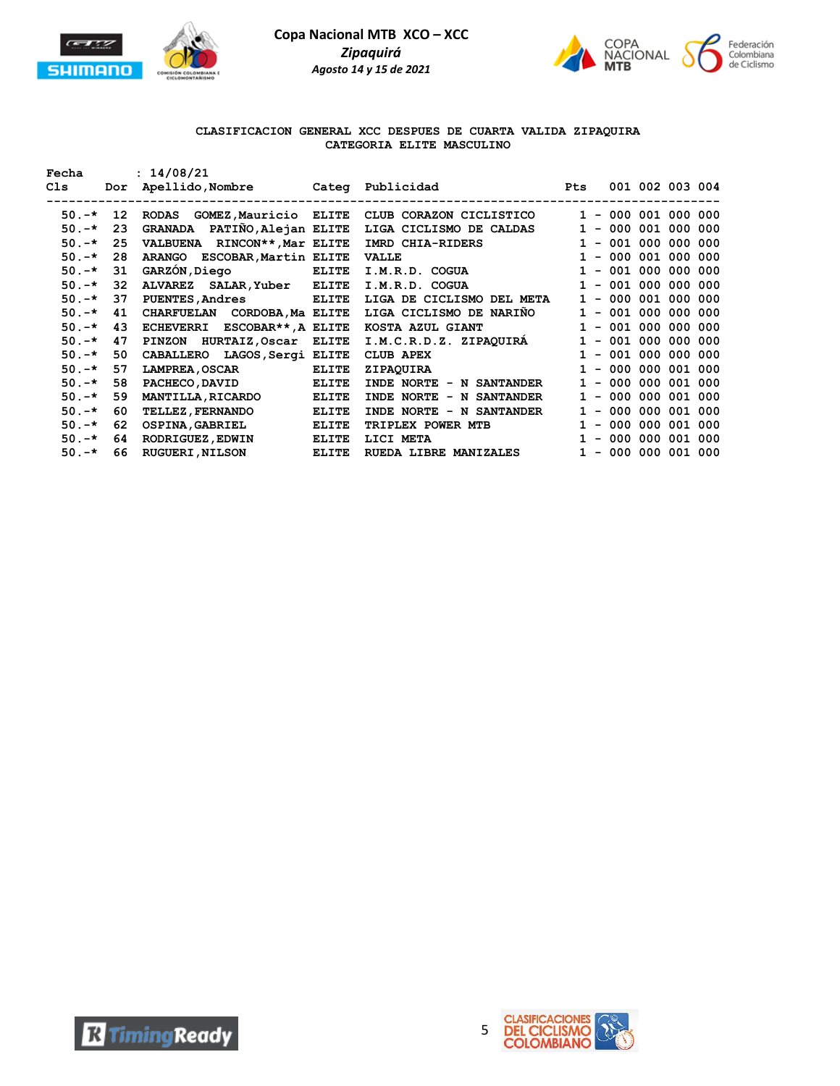



## **CLASIFICACION GENERAL XCC DESPUES DE CUARTA VALIDA ZIPAQUIRA CATEGORIA ELITE MASCULINO**

| Fecha    |                 | : 14/08/21                             |              |                                       |              |                       |                 |  |
|----------|-----------------|----------------------------------------|--------------|---------------------------------------|--------------|-----------------------|-----------------|--|
| Cls      | Dor             |                                        |              | Apellido, Nombre Cateq Publicidad Pts |              |                       | 001 002 003 004 |  |
|          |                 |                                        |              |                                       |              |                       |                 |  |
| $50. -*$ | 12 <sub>1</sub> | GOMEZ, Mauricio ELITE<br>RODAS         |              | CLUB CORAZON CICLISTICO               |              | $1 - 000 001 000 000$ |                 |  |
| $50. -*$ | 23              | GRANADA PATIÑO, Alejan ELITE           |              | LIGA CICLISMO DE CALDAS               | $\mathbf{1}$ | $-000001000000$       |                 |  |
| $50. -*$ | 25              | VALBUENA RINCON**, Mar ELITE           |              | IMRD CHIA-RIDERS                      | $\mathbf{1}$ | $-001000000000$       |                 |  |
| $50. -*$ | 28              | ARANGO ESCOBAR, Martin ELITE           |              | <b>VALLE</b>                          | $\mathbf{1}$ | $-000001000000$       |                 |  |
| $50. -*$ | 31              | GARZÓN, Diego ELITE                    |              | I.M.R.D. COGUA                        | $\mathbf{1}$ | $-001000000000$       |                 |  |
| $50. -*$ | 32              | ALVAREZ SALAR, Yuber ELITE             |              | I.M.R.D. COGUA                        | $\mathbf{1}$ | $-001000000000$       |                 |  |
| $50. -*$ | 37              | <b>PUENTES, Andres</b><br><b>ELITE</b> |              | LIGA DE CICLISMO DEL META             | $\mathbf{1}$ | $-000001000000$       |                 |  |
| $50. -*$ | 41              | CHARFUELAN CORDOBA, Ma ELITE           |              | LIGA CICLISMO DE NARIÑO               |              | $1 - 001 000 000 000$ |                 |  |
| $50. -*$ | 43              | ECHEVERRI ESCOBAR**, A ELITE           |              | KOSTA AZUL GIANT                      |              | $1 - 001 000 000 000$ |                 |  |
| $50. -*$ | 47              | PINZON HURTAIZ, Oscar                  | <b>ELITE</b> | I.M.C.R.D.Z. ZIPAQUIRÁ                | $\mathbf{1}$ | $-001000000000$       |                 |  |
| $50. -*$ | 50              | CABALLERO LAGOS, Sergi ELITE           |              | CLUB APEX                             | $\mathbf{1}$ | $-001000000000$       |                 |  |
| $50. -*$ | 57              | <b>LAMPREA, OSCAR</b>                  | <b>ELITE</b> | ZIPAQUIRA                             |              | $1 - 000 000 001 000$ |                 |  |
| $50. -*$ | 58              | PACHECO, DAVID                         | ELITE        | INDE NORTE - N SANTANDER              | $\mathbf{1}$ | $-000000001000$       |                 |  |
| $50. -*$ | 59              | <b>MANTILLA, RICARDO</b>               | <b>ELITE</b> | INDE NORTE - N SANTANDER              | $\mathbf{1}$ | $-000000001000$       |                 |  |
| $50. -*$ | 60              | <b>TELLEZ, FERNANDO</b>                | <b>ELITE</b> | INDE NORTE - N SANTANDER              | $\mathbf{1}$ | $-000000001000$       |                 |  |
| $50. -*$ | 62              | <b>OSPINA, GABRIEL</b>                 | <b>ELITE</b> | TRIPLEX POWER MTB                     | $\mathbf{1}$ | $-000000001000$       |                 |  |
| $50. -*$ | 64              | <b>RODRIGUEZ, EDWIN</b>                | <b>ELITE</b> | LICI META                             |              | $1 - 000 000 001 000$ |                 |  |
| $50. -*$ | 66              | <b>RUGUERI, NILSON</b>                 | <b>ELITE</b> | <b>RUEDA LIBRE MANIZALES</b>          | $\mathbf{1}$ | $-000000001000$       |                 |  |



**R** Timing Ready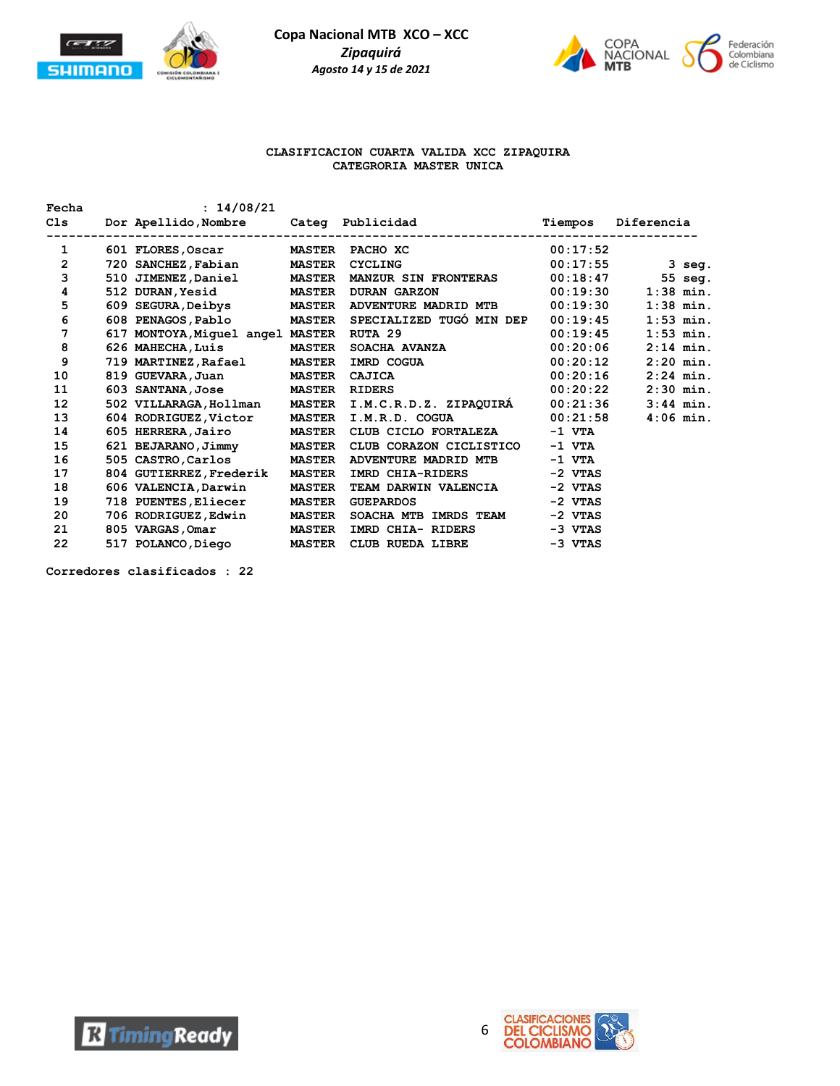



#### **CLASIFICACION CUARTA VALIDA XCC ZIPAQUIRA CATEGRORIA MASTER UNICA**

| Fecha             | : 14/08/21                               |               |                                                                            |           |             |
|-------------------|------------------------------------------|---------------|----------------------------------------------------------------------------|-----------|-------------|
| C1s               | ----------------------------             |               | Dor Apellido, Nombre Categ Publicidad<br>--------------------------------- | Tiempos   | Diferencia  |
| 1                 | 601 FLORES, Oscar MASTER PACHO XC        |               | 00:17:52                                                                   |           |             |
| $\overline{2}$    | 720 SANCHEZ, Fabian MASTER               |               | <b>CYCLING</b>                                                             | 00:17:55  | 3 seg.      |
| 3                 |                                          |               | 510 JIMENEZ, Daniel MASTER MANZUR SIN FRONTERAS 00:18:47 55 seq.           |           |             |
| 4                 | 512 DURAN, Yesid MASTER DURAN GARZON     |               |                                                                            | 00:19:30  | $1:38$ min. |
| 5                 |                                          |               | 609 SEGURA, Deibys MASTER ADVENTURE MADRID MTB 00:19:30                    |           | $1:38$ min. |
| 6                 |                                          |               | 608 PENAGOS, Pablo MASTER SPECIALIZED TUGÓ MIN DEP                         | 00:19:45  | $1:53$ min. |
| 7                 | 617 MONTOYA, Miquel angel MASTER RUTA 29 |               |                                                                            | 00:19:45  | $1:53$ min. |
| 8                 | 626 MAHECHA, Luis                        | <b>MASTER</b> | SOACHA AVANZA                                                              | 00:20:06  | $2:14$ min. |
| 9                 |                                          |               | 719 MARTINEZ,Rafael MASTER IMRD COGUA                                      | 00:20:12  | $2:20$ min. |
| 10                | 819 GUEVARA, Juan MASTER                 |               | CAJICA                                                                     | 00:20:16  | $2:24$ min. |
| 11                | 603 SANTANA, Jose MASTER RIDERS          |               |                                                                            | 00:20:22  | $2:30$ min. |
| $12 \overline{ }$ |                                          |               | 502 VILLARAGA, Hollman MASTER I.M.C.R.D.Z. ZIPAQUIRÁ 00:21:36              |           | $3:44$ min. |
| 13                |                                          |               | 604 RODRIGUEZ, Victor MASTER I.M.R.D. COGUA 00:21:58                       |           | $4:06$ min. |
| 14                |                                          |               | 605 HERRERA, Jairo MASTER CLUB CICLO FORTALEZA                             | $-1$ VTA  |             |
| 15                |                                          |               | 621 BEJARANO, Jimmy MASTER CLUB CORAZON CICLISTICO                         | $-1$ VTA  |             |
| 16                | 505 CASTRO, Carlos MASTER                |               | ADVENTURE MADRID MTB                                                       | $-1$ VTA  |             |
| 17                | 804 GUTIERREZ, Frederik                  | <b>MASTER</b> | IMRD CHIA-RIDERS                                                           | $-2$ VTAS |             |
| 18                | 606 VALENCIA, Darwin                     | <b>MASTER</b> | TEAM DARWIN VALENCIA                                                       | -2 VTAS   |             |
| 19                | 718 PUENTES, Eliecer MASTER              |               | <b>GUEPARDOS</b>                                                           | $-2$ VTAS |             |
| 20                | 706 RODRIGUEZ, Edwin MASTER              |               | SOACHA MTB IMRDS TEAM -2 VTAS                                              |           |             |
| 21                | 805 VARGAS, Omar MASTER                  |               | IMRD CHIA- RIDERS                                                          | $-3$ VTAS |             |
| 22                | 517 POLANCO, Diego MASTER                |               | CLUB RUEDA LIBRE                                                           | -3 VTAS   |             |

**Corredores clasificados : 22**



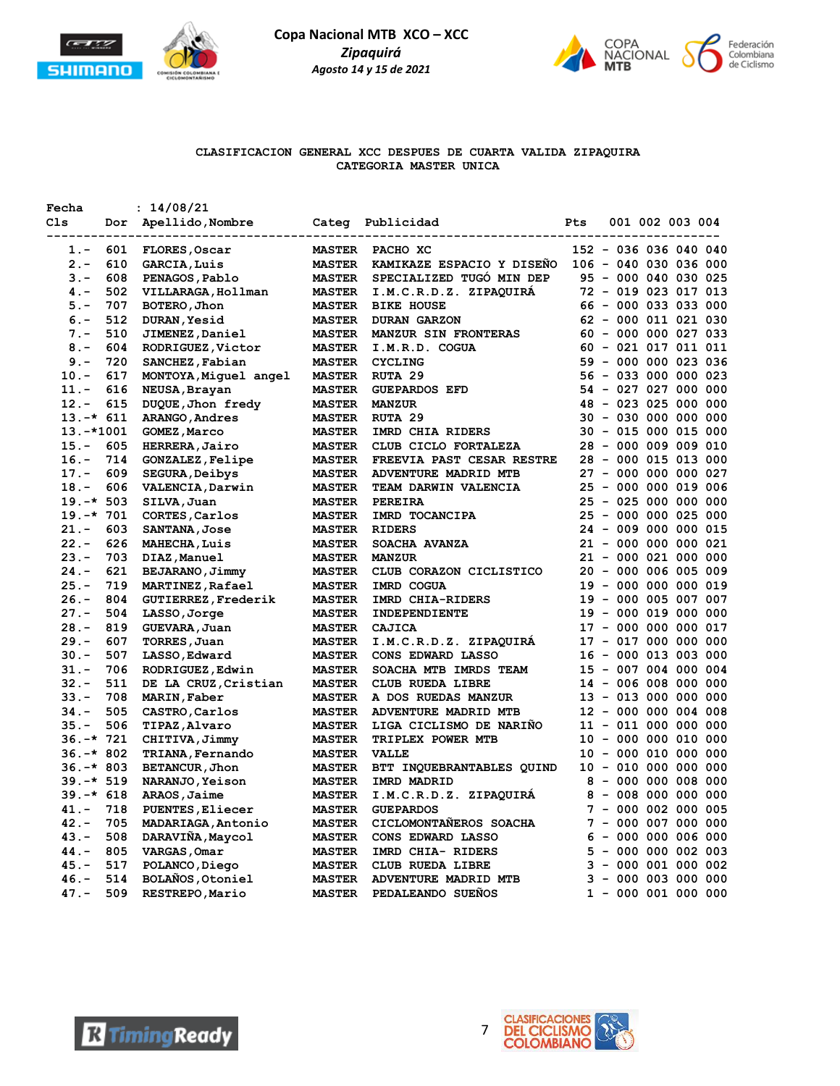



## **CLASIFICACION GENERAL XCC DESPUES DE CUARTA VALIDA ZIPAQUIRA CATEGORIA MASTER UNICA**

| Fecha                        |     | : 14/08/21                             |                                |                                                   |     |  |                                               |  |
|------------------------------|-----|----------------------------------------|--------------------------------|---------------------------------------------------|-----|--|-----------------------------------------------|--|
| C1s                          | Dor | Apellido, Nombre                       |                                | Categ Publicidad                                  | Pts |  | 001 002 003 004                               |  |
| $1. -$                       | 601 | FLORES, Oscar                          | <b>MASTER</b>                  | . _ _ _ _ _ _ _ _ _ _ _ _ _ _ _ _ _ _<br>PACHO XC |     |  | 152 - 036 036 040 040                         |  |
| $2 -$                        | 610 | <b>GARCIA, Luis</b>                    | <b>MASTER</b>                  | KAMIKAZE ESPACIO Y DISEÑO                         |     |  | 106 - 040 030 036 000                         |  |
| $3 -$                        | 608 | PENAGOS, Pablo                         | <b>MASTER</b>                  | SPECIALIZED TUGO MIN DEP                          |     |  | 95 - 000 040 030 025                          |  |
| $4. -$                       | 502 | VILLARAGA, Hollman                     | <b>MASTER</b>                  | I.M.C.R.D.Z. ZIPAQUIRA                            |     |  | 72 - 019 023 017 013                          |  |
| $5. -$                       | 707 | BOTERO, Jhon                           | <b>MASTER</b>                  | <b>BIKE HOUSE</b>                                 |     |  | 66 - 000 033 033 000                          |  |
| $6. -$                       | 512 | <b>DURAN, Yesid</b>                    | <b>MASTER</b>                  | <b>DURAN GARZON</b>                               |     |  | 62 - 000 011 021 030                          |  |
| $7 -$                        | 510 | JIMENEZ, Daniel                        | <b>MASTER</b>                  | MANZUR SIN FRONTERAS                              |     |  | $60 - 000 000 027 033$                        |  |
| $8 -$                        | 604 | RODRIGUEZ, Victor                      | <b>MASTER</b>                  | I.M.R.D. COGUA                                    |     |  | $60 - 021 017 011 011$                        |  |
| $9 -$                        | 720 | SANCHEZ, Fabian                        | <b>MASTER</b>                  | <b>CYCLING</b>                                    |     |  | 59 - 000 000 023 036                          |  |
| $10. -$                      | 617 | MONTOYA, Miquel angel                  | <b>MASTER</b>                  | RUTA 29                                           |     |  | 56 - 033 000 000 023                          |  |
| $11. -$                      | 616 | NEUSA, Brayan                          | <b>MASTER</b>                  | <b>GUEPARDOS EFD</b>                              |     |  | 54 - 027 027 000 000                          |  |
| $12 -$                       | 615 | DUQUE, Jhon fredy                      | <b>MASTER</b>                  | <b>MANZUR</b>                                     |     |  | 48 - 023 025 000 000                          |  |
| $13.-* 611$                  |     | ARANGO, Andres                         | <b>MASTER</b>                  | RUTA 29                                           |     |  | 30 - 030 000 000 000                          |  |
| $13.-*1001$                  |     | GOMEZ, Marco                           | <b>MASTER</b>                  | IMRD CHIA RIDERS                                  |     |  | 30 - 015 000 015 000                          |  |
| $15. -$                      | 605 | HERRERA, Jairo                         | <b>MASTER</b>                  | CLUB CICLO FORTALEZA                              |     |  | 28 - 000 009 009 010                          |  |
| $16. -$                      | 714 | <b>GONZALEZ, Felipe</b>                | <b>MASTER</b>                  | FREEVIA PAST CESAR RESTRE                         |     |  | 28 - 000 015 013 000                          |  |
| $17. -$                      | 609 | <b>SEGURA, Deibys</b>                  | <b>MASTER</b>                  | ADVENTURE MADRID MTB                              |     |  | 27 - 000 000 000 027                          |  |
| $18. -$                      | 606 | VALENCIA, Darwin                       | <b>MASTER</b>                  | TEAM DARWIN VALENCIA                              |     |  | 25 - 000 000 019 006                          |  |
| $19. -* 503$                 |     | SILVA, Juan                            | <b>MASTER</b>                  | PEREIRA                                           |     |  | 25 - 025 000 000 000                          |  |
| $19. -* 701$                 |     | CORTES, Carlos                         | <b>MASTER</b>                  | IMRD TOCANCIPA                                    |     |  | 25 - 000 000 025 000                          |  |
| $21. -$                      | 603 | <b>SANTANA, Jose</b>                   | <b>MASTER</b>                  | <b>RIDERS</b>                                     |     |  | 24 - 009 000 000 015                          |  |
| $22 -$                       | 626 | <b>MAHECHA, Luis</b>                   | <b>MASTER</b>                  | SOACHA AVANZA                                     |     |  | 21 - 000 000 000 021                          |  |
| $23 -$                       | 703 | DIAZ, Manuel                           | <b>MASTER</b>                  | <b>MANZUR</b>                                     |     |  | 21 - 000 021 000 000                          |  |
| $24. -$                      | 621 | BEJARANO, Jimmy                        | <b>MASTER</b>                  | CLUB CORAZON CICLISTICO                           |     |  | 20 - 000 006 005 009                          |  |
| $25. -$                      | 719 | MARTINEZ, Rafael                       | <b>MASTER</b>                  | IMRD COGUA                                        |     |  | 19 - 000 000 000 019                          |  |
| $26. -$                      | 804 | GUTIERREZ, Frederik                    | <b>MASTER</b>                  | IMRD CHIA-RIDERS                                  |     |  | 19 - 000 005 007 007                          |  |
| $27. -$                      | 504 | LASSO, Jorge                           | <b>MASTER</b>                  | INDEPENDIENTE                                     |     |  | 19 - 000 019 000 000                          |  |
| $28. -$                      | 819 | GUEVARA, Juan                          | <b>MASTER</b>                  | CAJICA                                            |     |  | 17 - 000 000 000 017                          |  |
| $29. -$                      | 607 | TORRES, Juan                           | <b>MASTER</b>                  | I.M.C.R.D.Z. ZIPAQUIRA                            |     |  | 17 - 017 000 000 000                          |  |
| $30 -$                       | 507 | LASSO, Edward                          | <b>MASTER</b>                  | CONS EDWARD LASSO                                 |     |  | 16 - 000 013 003 000                          |  |
| $31 -$                       | 706 | RODRIGUEZ, Edwin                       | <b>MASTER</b>                  | SOACHA MTB IMRDS TEAM                             |     |  | 15 - 007 004 000 004                          |  |
| $32 -$                       | 511 | DE LA CRUZ, Cristian                   | <b>MASTER</b>                  | CLUB RUEDA LIBRE                                  |     |  | 14 - 006 008 000 000                          |  |
| $33 -$                       | 708 | MARIN, Faber                           | <b>MASTER</b>                  | A DOS RUEDAS MANZUR                               |     |  | 13 - 013 000 000 000                          |  |
| $34. -$                      | 505 | CASTRO, Carlos                         | <b>MASTER</b>                  | ADVENTURE MADRID MTB                              |     |  | 12 - 000 000 004 008                          |  |
| $35. -$                      | 506 | TIPAZ, Alvaro                          | <b>MASTER</b>                  | LIGA CICLISMO DE NARIÑO                           |     |  | 11 - 011 000 000 000                          |  |
| $36. -* 721$                 |     | CHITIVA, Jimmy                         | <b>MASTER</b>                  | TRIPLEX POWER MTB                                 |     |  | 10 - 000 000 010 000                          |  |
| $36. -* 802$                 |     | <b>TRIANA, Fernando</b>                | <b>MASTER</b>                  | <b>VALLE</b>                                      |     |  | 10 - 000 010 000 000                          |  |
| $36. -* 803$<br>$39. -* 519$ |     | BETANCUR, Jhon                         | <b>MASTER</b>                  | BTT INQUEBRANTABLES QUIND<br>IMRD MADRID          |     |  | 10 - 010 000 000 000<br>$8 - 000 000 008 000$ |  |
| $39. -* 618$                 |     | NARANJO, Yeison                        | <b>MASTER</b>                  | I.M.C.R.D.Z. ZIPAQUIRA                            |     |  | $8 - 008 000 000 000$                         |  |
| $41. -$                      | 718 | ARAOS, Jaime                           | <b>MASTER</b><br><b>MASTER</b> | <b>GUEPARDOS</b>                                  |     |  | $7 - 000 002 000 005$                         |  |
| $42 -$                       | 705 | PUENTES, Eliecer                       | <b>MASTER</b>                  | CICLOMONTAÑEROS SOACHA                            |     |  | 7 - 000 007 000 000                           |  |
| $43 -$                       | 508 | MADARIAGA, Antonio<br>DARAVIÑA, Maycol | <b>MASTER</b>                  | CONS EDWARD LASSO                                 |     |  | $6 - 000 000 006 000$                         |  |
| $44. -$                      | 805 | VARGAS, Omar                           | <b>MASTER</b>                  | IMRD CHIA- RIDERS                                 |     |  | $5 - 000 000 002 003$                         |  |
| $45. -$                      | 517 | POLANCO, Diego                         | <b>MASTER</b>                  | CLUB RUEDA LIBRE                                  |     |  | $3 - 000001000002$                            |  |
| $46. -$                      | 514 | BOLAÑOS, Otoniel                       | <b>MASTER</b>                  | ADVENTURE MADRID MTB                              |     |  | $3 - 000003000000$                            |  |
| $47. -$                      | 509 | RESTREPO, Mario                        | <b>MASTER</b>                  | PEDALEANDO SUEÑOS                                 |     |  | $1 - 000001000000$                            |  |
|                              |     |                                        |                                |                                                   |     |  |                                               |  |



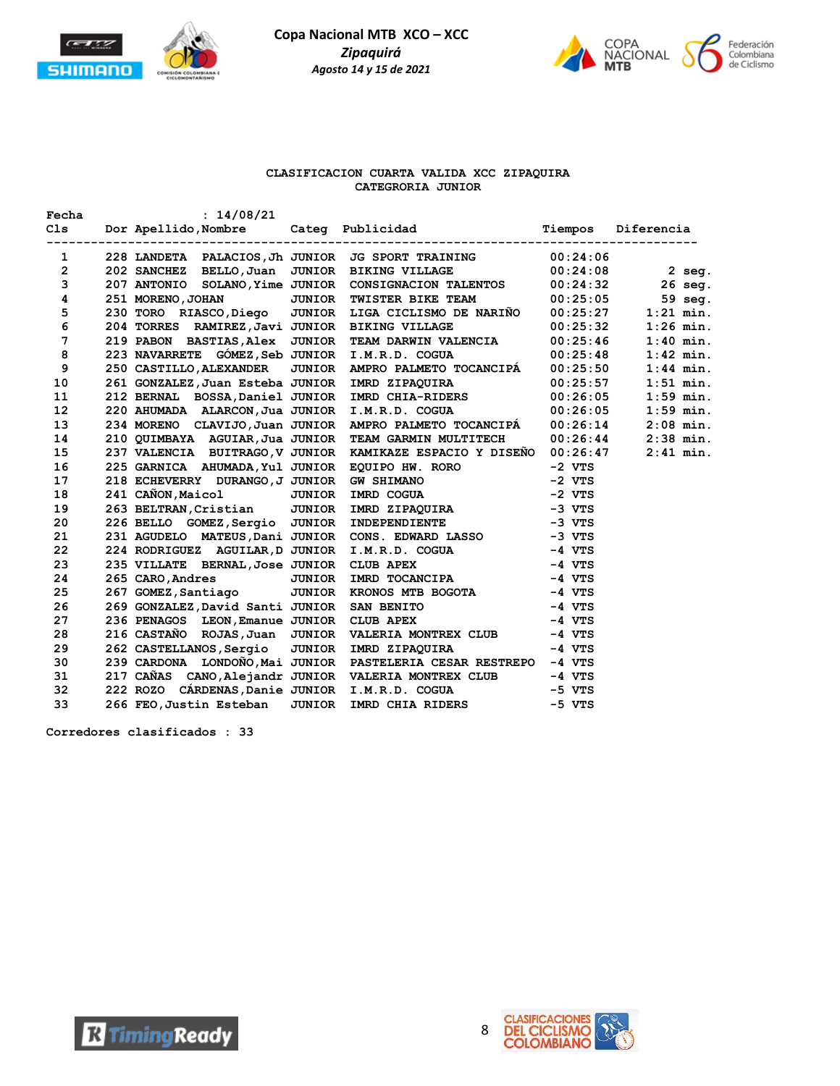



## **CLASIFICACION CUARTA VALIDA XCC ZIPAQUIRA CATEGRORIA JUNIOR**

| 1                       |  | 228 LANDETA PALACIOS, Jh JUNIOR JG SPORT TRAINING<br>202 SANCHEZ BELLO, Juan JUNIOR BIKING VILLAGE<br>207 ANTONIO SOLANO, Yime JUNIOR CONSIGNACION TALENTOS<br>207 ANTONIO SOLANO, Yime JUNIOR CONSIGNACION TALENTOS<br>230 TORO RIAS     |             |
|-------------------------|--|-------------------------------------------------------------------------------------------------------------------------------------------------------------------------------------------------------------------------------------------|-------------|
| $\overline{2}$          |  |                                                                                                                                                                                                                                           |             |
| $\overline{3}$          |  |                                                                                                                                                                                                                                           |             |
| $\overline{\mathbf{4}}$ |  |                                                                                                                                                                                                                                           |             |
| 5                       |  |                                                                                                                                                                                                                                           |             |
| 6                       |  |                                                                                                                                                                                                                                           | $1:26$ min. |
| $7\overline{ }$         |  | 204 TORRES RAMIREZ, Javi JUNIOR BIKING VILLAGE 00:25:32<br>219 PABON BASTIAS, Alex JUNIOR TEAM DARWIN VALENCIA 00:25:46                                                                                                                   | $1:40$ min. |
| 8                       |  | 223 NAVARRETE GÓMEZ, Seb JUNIOR I.M.R.D. COGUA $00:25:48$<br>250 CASTILLO, ALEXANDER JUNIOR AMPRO PALMETO TOCANCIPÁ $00:25:50$                                                                                                            | $1:42$ min. |
| 9                       |  |                                                                                                                                                                                                                                           | $1:44$ min. |
| 10                      |  | 261 GONZALEZ, Juan Esteba JUNIOR IMRD ZIPAQUIRA 00:25:57                                                                                                                                                                                  | $1:51$ min. |
| 11                      |  | 212 BERNAL BOSSA, Daniel JUNIOR IMRD CHIA-RIDERS 00:26:05                                                                                                                                                                                 | $1:59$ min. |
| 12 <sup>°</sup>         |  | 220 AHUMADA ALARCON, Jua JUNIOR I.M.R.D. COGUA 00:26:05<br>234 MORENO CLAVIJO, Juan JUNIOR AMPRO PALMETO TOCANCIPÁ 00:26:14                                                                                                               | $1:59$ min. |
| 13                      |  |                                                                                                                                                                                                                                           | $2:08$ min. |
| 14                      |  | 210 QUIMBAYA AGUIAR, Jua JUNIOR TEAM GARMIN MULTITECH 00:26:44 2:38 min.<br>237 VALENCIA BUITRAGO, V JUNIOR KAMIKAZE ESPACIO Y DISEÑO 00:26:47 2:41 min.                                                                                  |             |
| 15                      |  |                                                                                                                                                                                                                                           |             |
| 16                      |  | 237 VALENCIA BUITKAGO, V JUNIOR KAMIKAZE ESPACIO Y DISENO 00:26:4<br>225 GARNICA AHUMADA, Yul JUNIOR EQUIPO HW. RORO -2 VTS<br>218 ECHEVERRY DURANGO, J JUNIOR GW SHIMANO -2 VTS<br>241 CAÑON, Maicol JUNIOR IMRD ZIPAQUIRA -3 VTS<br>263 |             |
| 17 <sub>2</sub>         |  |                                                                                                                                                                                                                                           |             |
| 18                      |  |                                                                                                                                                                                                                                           |             |
| 19                      |  |                                                                                                                                                                                                                                           |             |
| 20                      |  |                                                                                                                                                                                                                                           |             |
| 21                      |  |                                                                                                                                                                                                                                           |             |
| 22                      |  |                                                                                                                                                                                                                                           |             |
| 23                      |  |                                                                                                                                                                                                                                           |             |
| 24                      |  |                                                                                                                                                                                                                                           |             |
| 25                      |  |                                                                                                                                                                                                                                           |             |
| 26                      |  |                                                                                                                                                                                                                                           |             |
| 27                      |  |                                                                                                                                                                                                                                           |             |
| 28                      |  | 216 CASTAÑO ROJAS, Juan JUNIOR VALERIA MONTREX CLUB -4 VTS<br>262 CASTELLANOS, Sergio JUNIOR IMRD ZIPAQUIRA -4 VTS                                                                                                                        |             |
| 29                      |  |                                                                                                                                                                                                                                           |             |
| 30 <sub>2</sub>         |  | 239 CARDONA LONDOÑO, Mai JUNIOR PASTELERIA CESAR RESTREPO -4 VTS                                                                                                                                                                          |             |
| 31                      |  | 217 CAÑAS CANO, Alejandr JUNIOR VALERIA MONTREX CLUB -4 VTS<br>222 ROZO CÁRDENAS, Danie JUNIOR I.M.R.D. COGUA -5 VTS<br>266 FEO, Justin Esteban JUNIOR IMRD CHIA RIDERS -5 VTS                                                            |             |
| 32                      |  |                                                                                                                                                                                                                                           |             |
| 33                      |  |                                                                                                                                                                                                                                           |             |

**Corredores clasificados : 33**

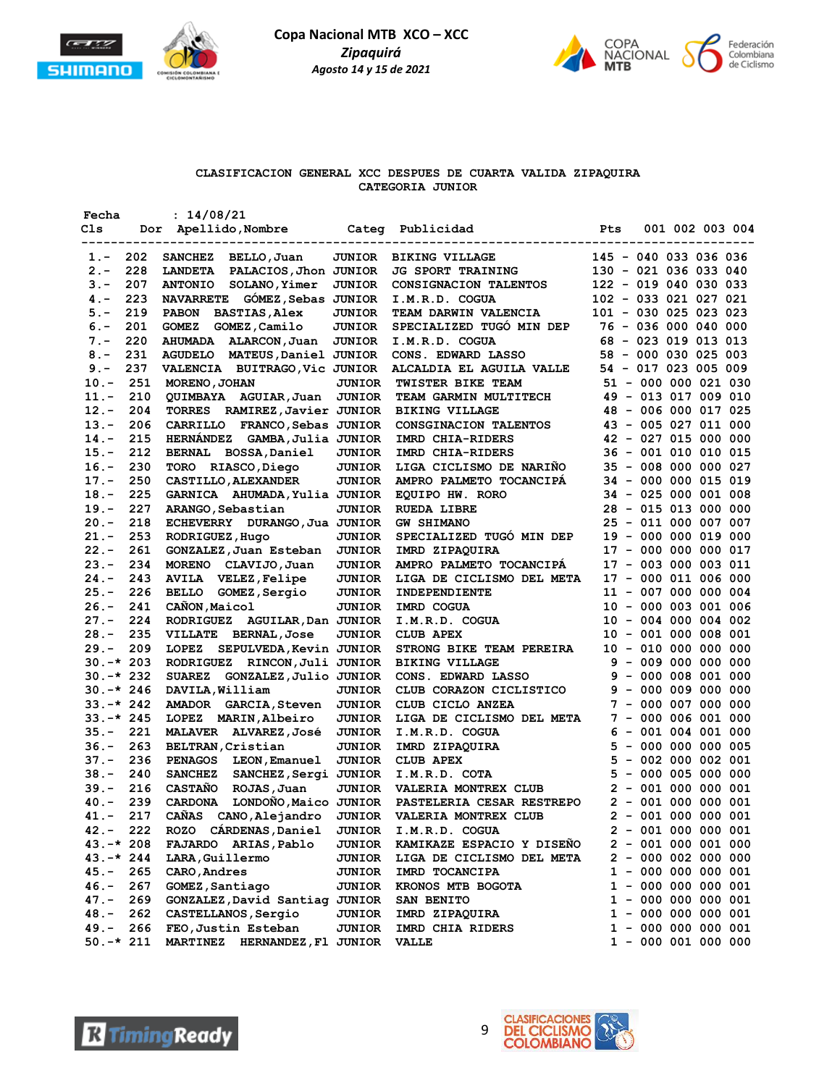



# **CLASIFICACION GENERAL XCC DESPUES DE CUARTA VALIDA ZIPAQUIRA CATEGORIA JUNIOR**

| Fecha<br>Cls |     | : 14/08/21<br>Dor Apellido, Nombre Categ Publicidad |               |                           | Pts                   |                          |  |                        | 001 002 003 004       |
|--------------|-----|-----------------------------------------------------|---------------|---------------------------|-----------------------|--------------------------|--|------------------------|-----------------------|
| $1 -$        | 202 | <b>SANCHEZ</b><br>BELLO, Juan                       | <b>JUNIOR</b> | <b>BIKING VILLAGE</b>     | 145 - 040 033 036 036 |                          |  |                        |                       |
| $2 -$        | 228 | PALACIOS, Jhon JUNIOR<br><b>LANDETA</b>             |               | <b>JG SPORT TRAINING</b>  | 130 - 021 036 033 040 |                          |  |                        |                       |
| $3 -$        | 207 | <b>ANTONIO</b><br>SOLANO, Yimer                     | <b>JUNIOR</b> | CONSIGNACION TALENTOS     | 122 - 019 040 030 033 |                          |  |                        |                       |
| $4 -$        | 223 | GÓMEZ, Sebas JUNIOR<br><b>NAVARRETE</b>             |               | I.M.R.D. COGUA            | 102 - 033 021 027 021 |                          |  |                        |                       |
| $5. -$       | 219 | <b>PABON</b><br><b>BASTIAS, Alex</b>                | <b>JUNIOR</b> | TEAM DARWIN VALENCIA      | 101 - 030 025 023 023 |                          |  |                        |                       |
| $6. -$       | 201 | <b>GOMEZ</b><br>GOMEZ, Camilo                       | <b>JUNIOR</b> | SPECIALIZED TUGO MIN DEP  |                       |                          |  | 76 - 036 000 040 000   |                       |
| $7. -$       | 220 | <b>AHUMADA</b><br>ALARCON, Juan                     | <b>JUNIOR</b> | I.M.R.D. COGUA            |                       |                          |  | 68 - 023 019 013 013   |                       |
| $8 -$        | 231 | AGUDELO MATEUS, Daniel JUNIOR                       |               | CONS. EDWARD LASSO        |                       |                          |  | 58 - 000 030 025 003   |                       |
| $9 -$        | 237 | VALENCIA BUITRAGO, Vic JUNIOR                       |               | ALCALDIA EL AGUILA VALLE  |                       |                          |  | 54 - 017 023 005 009   |                       |
| $10. -$      | 251 | MORENO, JOHAN                                       | <b>JUNIOR</b> | <b>TWISTER BIKE TEAM</b>  |                       |                          |  | 51 - 000 000 021 030   |                       |
| $11. -$      | 210 | QUIMBAYA AGUIAR, Juan                               | <b>JUNIOR</b> | TEAM GARMIN MULTITECH     |                       |                          |  | 49 - 013 017 009 010   |                       |
| $12. -$      | 204 | TORRES RAMIREZ, Javier JUNIOR                       |               | <b>BIKING VILLAGE</b>     |                       |                          |  | 48 - 006 000 017 025   |                       |
| $13 -$       | 206 | FRANCO, Sebas JUNIOR<br>CARRILLO                    |               | CONSGINACION TALENTOS     |                       |                          |  | 43 - 005 027 011 000   |                       |
| $14. -$      | 215 | HERNÁNDEZ GAMBA, Julia JUNIOR                       |               | IMRD CHIA-RIDERS          |                       |                          |  | 42 - 027 015 000 000   |                       |
| $15. -$      | 212 | BERNAL BOSSA, Daniel                                | <b>JUNIOR</b> | IMRD CHIA-RIDERS          |                       |                          |  | 36 - 001 010 010 015   |                       |
| $16. -$      | 230 | TORO RIASCO, Diego                                  | <b>JUNIOR</b> | LIGA CICLISMO DE NARINO   |                       |                          |  | 35 - 008 000 000 027   |                       |
| $17. -$      | 250 | <b>CASTILLO, ALEXANDER</b>                          | <b>JUNIOR</b> | AMPRO PALMETO TOCANCIPA   |                       |                          |  | 34 - 000 000 015 019   |                       |
| $18. -$      | 225 | GARNICA AHUMADA, Yulia JUNIOR                       |               | EQUIPO HW. RORO           |                       |                          |  | 34 - 025 000 001 008   |                       |
| $19. -$      | 227 | ARANGO, Sebastian                                   | <b>JUNIOR</b> | <b>RUEDA LIBRE</b>        |                       |                          |  | 28 - 015 013 000 000   |                       |
| $20 -$       | 218 | ECHEVERRY DURANGO, Jua JUNIOR                       |               | <b>GW SHIMANO</b>         |                       |                          |  | 25 - 011 000 007 007   |                       |
| $21 -$       | 253 | RODRIGUEZ, Hugo                                     | <b>JUNIOR</b> | SPECIALIZED TUGO MIN DEP  |                       |                          |  | 19 - 000 000 019 000   |                       |
| $22 -$       | 261 | GONZALEZ, Juan Esteban                              | <b>JUNIOR</b> | IMRD ZIPAQUIRA            |                       |                          |  | 17 - 000 000 000 017   |                       |
| $23 -$       | 234 | MORENO CLAVIJO, Juan                                | <b>JUNIOR</b> | AMPRO PALMETO TOCANCIPA   |                       |                          |  | 17 - 003 000 003 011   |                       |
| $24. -$      | 243 | <b>AVILA</b><br><b>VELEZ, Felipe</b>                | <b>JUNIOR</b> | LIGA DE CICLISMO DEL META |                       |                          |  | 17 - 000 011 006 000   |                       |
| $25. -$      | 226 | BELLO<br>GOMEZ, Sergio                              | <b>JUNIOR</b> | INDEPENDIENTE             |                       |                          |  | 11 - 007 000 000 004   |                       |
| $26. -$      | 241 | CAÑON, Maicol                                       | <b>JUNIOR</b> | IMRD COGUA                |                       |                          |  | 10 - 000 003 001 006   |                       |
| $27. -$      | 224 | RODRIGUEZ AGUILAR, Dan JUNIOR                       |               | I.M.R.D. COGUA            |                       |                          |  | $10 - 004 000 004 002$ |                       |
| $28. -$      | 235 | <b>VILLATE</b><br><b>BERNAL, Jose</b>               | <b>JUNIOR</b> | CLUB APEX                 |                       |                          |  | 10 - 001 000 008 001   |                       |
| $29. -$      | 209 | LOPEZ<br>SEPULVEDA, Kevin JUNIOR                    |               | STRONG BIKE TEAM PEREIRA  |                       |                          |  | 10 - 010 000 000 000   |                       |
| $30.-*203$   |     | RODRIGUEZ RINCON, Juli JUNIOR                       |               | <b>BIKING VILLAGE</b>     |                       |                          |  | $9 - 009 000 000 000$  |                       |
| $30.-*232$   |     | <b>SUAREZ</b><br><b>GONZALEZ,Julio JUNIOR</b>       |               | CONS. EDWARD LASSO        |                       |                          |  | $9 - 000 008 001 000$  |                       |
| $30.-*246$   |     | DAVILA, William                                     | <b>JUNIOR</b> | CLUB CORAZON CICLISTICO   |                       |                          |  | $9 - 000 009 000 000$  |                       |
| $33.-*242$   |     | <b>AMADOR</b><br><b>GARCIA, Steven</b>              | <b>JUNIOR</b> | CLUB CICLO ANZEA          |                       |                          |  | 7 - 000 007 000 000    |                       |
| $33.-*245$   |     | LOPEZ<br><b>MARIN, Albeiro</b>                      | <b>JUNIOR</b> | LIGA DE CICLISMO DEL META |                       |                          |  | $7 - 000006001000$     |                       |
| $35. -$      | 221 | MALAVER ALVAREZ, José                               | <b>JUNIOR</b> | I.M.R.D. COGUA            |                       |                          |  | $6 - 001 004 001 000$  |                       |
| $36. -$      | 263 | BELTRAN, Cristian                                   | <b>JUNIOR</b> | IMRD ZIPAQUIRA            |                       |                          |  | 5 - 000 000 000 005    |                       |
| $37 -$       | 236 | PENAGOS LEON, Emanuel                               | <b>JUNIOR</b> | CLUB APEX                 |                       |                          |  | $5 - 002 000 002 001$  |                       |
| $38 -$       | 240 | <b>SANCHEZ</b><br>SANCHEZ, Sergi JUNIOR             |               | I.M.R.D. COTA             | 5                     | $\overline{\phantom{a}}$ |  | 000 005 000 000        |                       |
| $39. -$      | 216 | <b>CASTAÑO</b><br>ROJAS, Juan                       | <b>JUNIOR</b> | VALERIA MONTREX CLUB      |                       |                          |  | $2 - 001 000 000 001$  |                       |
| $40. -$      | 239 | <b>CARDONA</b><br>LONDOÑO, Maico JUNIOR             |               | PASTELERIA CESAR RESTREPO |                       |                          |  | $2 - 001 000 000 001$  |                       |
| $41. -$      | 217 | CAÑAS<br>CANO, Alejandro                            | <b>JUNIOR</b> | VALERIA MONTREX CLUB      |                       |                          |  | 2 - 001 000 000 001    |                       |
| 42. –        | 222 | ROZO CARDENAS, Daniel                               | <b>JUNIOR</b> | I.M.R.D. COGUA            |                       |                          |  |                        | $2 - 001 000 000 001$ |
| $43.-*208$   |     | FAJARDO ARIAS, Pablo                                | <b>JUNIOR</b> | KAMIKAZE ESPACIO Y DISENO |                       |                          |  | $2 - 001 000 001 000$  |                       |
| $43. -* 244$ |     | LARA, Guillermo                                     | <b>JUNIOR</b> | LIGA DE CICLISMO DEL META |                       |                          |  | $2 - 000002000000$     |                       |
| $45. -$      | 265 | CARO, Andres                                        | <b>JUNIOR</b> | IMRD TOCANCIPA            |                       |                          |  | $1 - 000 000 000 001$  |                       |
| $46. -$      | 267 | GOMEZ, Santiago                                     | <b>JUNIOR</b> | KRONOS MTB BOGOTA         |                       |                          |  | 1 - 000 000 000 001    |                       |
| $47. -$      | 269 | GONZALEZ, David Santiag JUNIOR                      |               | SAN BENITO                |                       |                          |  | 1 - 000 000 000 001    |                       |
| $48. -$      | 262 | CASTELLANOS, Sergio                                 | <b>JUNIOR</b> | IMRD ZIPAQUIRA            | 1                     |                          |  |                        | $-000000000001$       |
| $49. -$      | 266 | FEO, Justin Esteban                                 | <b>JUNIOR</b> | IMRD CHIA RIDERS          |                       |                          |  | 1 - 000 000 000 001    |                       |
| $50.-*211$   |     | <b>MARTINEZ</b><br>HERNANDEZ, F1 JUNIOR             |               | <b>VALLE</b>              |                       |                          |  |                        | 1 - 000 001 000 000   |



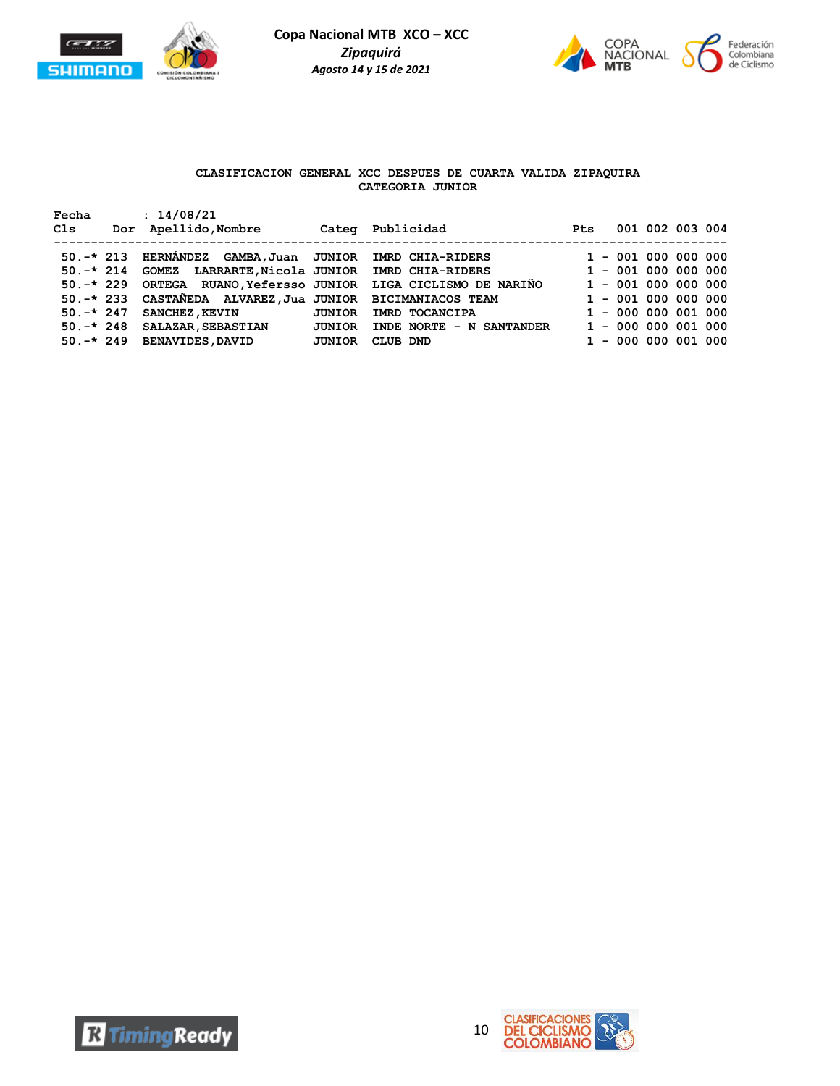



# **CLASIFICACION GENERAL XCC DESPUES DE CUARTA VALIDA ZIPAQUIRA CATEGORIA JUNIOR**

| Fecha<br>Cls | : 14/08/21<br>Dor Apellido, Nombre                        |               | Categ Publicidad                                      | <b>Pt.s</b> |                       | 001 002 003 004 |  |
|--------------|-----------------------------------------------------------|---------------|-------------------------------------------------------|-------------|-----------------------|-----------------|--|
|              | 50.-* 213 HERNÁNDEZ GAMBA, Juan JUNIOR IMRD CHIA-RIDERS   |               |                                                       |             | $1 - 001 000 000 000$ |                 |  |
|              | 50.-* 214 GOMEZ LARRARTE, Nicola JUNIOR IMRD CHIA-RIDERS  |               |                                                       |             | $1 - 001 000 000 000$ |                 |  |
| $50. -* 229$ |                                                           |               | ORTEGA RUANO, Yefersso JUNIOR LIGA CICLISMO DE NARIÑO |             | $1 - 001 000 000 000$ |                 |  |
|              | 50.-* 233 CASTAÑEDA ALVAREZ, Jua JUNIOR BICIMANIACOS TEAM |               |                                                       |             | $1 - 001 000 000 000$ |                 |  |
| $50. -* 247$ | <b>SANCHEZ, KEVIN</b>                                     | <b>JUNIOR</b> | IMRD TOCANCIPA                                        |             | $1 - 000 000 001 000$ |                 |  |
| $50. -* 248$ | <b>SALAZAR, SEBASTIAN</b>                                 | <b>JUNIOR</b> | INDE NORTE - N SANTANDER                              |             | $1 - 000 000 001 000$ |                 |  |
| $50. -* 249$ | <b>BENAVIDES, DAVID</b>                                   | JUNIOR        | CLUB DND                                              |             | $1 - 000 000 001 000$ |                 |  |



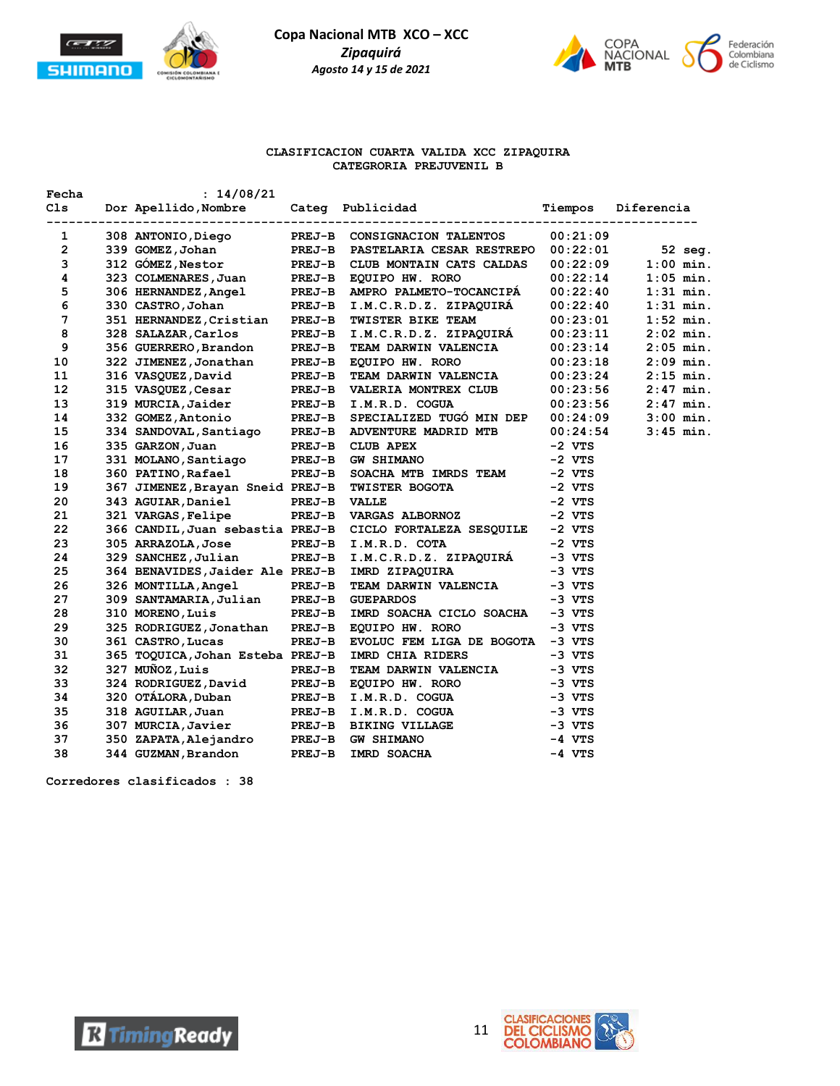



#### **CLASIFICACION CUARTA VALIDA XCC ZIPAQUIRA CATEGRORIA PREJUVENIL B**

| Fecha | : 14/08/21                       |               |                                                           |          |             |
|-------|----------------------------------|---------------|-----------------------------------------------------------|----------|-------------|
| C1s   | Dor Apellido, Nombre             |               | Categ Publicidad                                          | Tiempos  | Diferencia  |
|       |                                  | -----------   |                                                           |          |             |
| 1     | 308 ANTONIO, Diego               |               | PREJ-B CONSIGNACION TALENTOS                              | 00:21:09 |             |
| 2     | 339 GOMEZ, Johan                 |               | PREJ-B PASTELARIA CESAR RESTREPO                          | 00:22:01 | 52 seg.     |
| 3     | 312 GÓMEZ, Nestor                | <b>PREJ-B</b> | CLUB MONTAIN CATS CALDAS                                  | 00:22:09 | $1:00$ min. |
| 4     | 323 COLMENARES, Juan             | <b>PREJ-B</b> | EQUIPO HW. RORO                                           | 00:22:14 | $1:05$ min. |
| 5     | 306 HERNANDEZ, Angel             |               | PREJ-B AMPRO PALMETO-TOCANCIPA                            | 00:22:40 | $1:31$ min. |
| 6     | 330 CASTRO, Johan                |               | PREJ-B I.M.C.R.D.Z. ZIPAQUIRÁ                             | 00:22:40 | $1:31$ min. |
| 7     | 351 HERNANDEZ, Cristian          | <b>PREJ-B</b> | TWISTER BIKE TEAM                                         | 00:23:01 | $1:52$ min. |
| 8     | 328 SALAZAR, Carlos              |               | PREJ-B I.M.C.R.D.Z. ZIPAQUIRA                             | 00:23:11 | $2:02$ min. |
| 9     | 356 GUERRERO, Brandon            | <b>PREJ-B</b> | TEAM DARWIN VALENCIA                                      | 00:23:14 | $2:05$ min. |
| 10    | 322 JIMENEZ, Jonathan            | <b>PREJ-B</b> | EQUIPO HW. RORO                                           | 00:23:18 | $2:09$ min. |
| 11    | 316 VASQUEZ, David               | <b>PREJ-B</b> | <b>TEAM DARWIN VALENCIA</b>                               | 00:23:24 | $2:15$ min. |
| 12    | 315 VASQUEZ, Cesar               | <b>PREJ-B</b> | VALERIA MONTREX CLUB                                      | 00:23:56 | $2:47$ min. |
| 13    | 319 MURCIA, Jaider               | <b>PREJ-B</b> | I.M.R.D. COGUA                                            | 00:23:56 | $2:47$ min. |
| 14    | 332 GOMEZ, Antonio               | <b>PREJ-B</b> | SPECIALIZED TUGÓ MIN DEP                                  | 00:24:09 | $3:00$ min. |
| 15    | 334 SANDOVAL, Santiago           | <b>PREJ-B</b> | ADVENTURE MADRID MTB                                      | 00:24:54 | $3:45$ min. |
| 16    | 335 GARZON, Juan                 | <b>PREJ-B</b> | <b>CLUB APEX</b>                                          | $-2$ VTS |             |
| 17    | 331 MOLANO, Santiago             | <b>PREJ-B</b> | <b>GW SHIMANO</b>                                         | $-2$ VTS |             |
| 18    | 360 PATINO, Rafael               | <b>PREJ-B</b> | SOACHA MTB IMRDS TEAM                                     | $-2$ VTS |             |
| 19    | 367 JIMENEZ, Brayan Sneid PREJ-B |               | TWISTER BOGOTA                                            | $-2$ VTS |             |
| 20    | 343 AGUIAR, Daniel               | <b>PREJ-B</b> | VALLE                                                     | $-2$ VTS |             |
| 21    | 321 VARGAS, Felipe               | <b>PREJ-B</b> | <b>VARGAS ALBORNOZ</b>                                    | $-2$ VTS |             |
| 22    |                                  |               | 366 CANDIL, Juan sebastia PREJ-B CICLO FORTALEZA SESQUILE | $-2$ VTS |             |
| 23    | 305 ARRAZOLA, Jose               |               | PREJ-B I.M.R.D. COTA                                      | $-2$ VTS |             |
| 24    | 329 SANCHEZ, Julian              | <b>PREJ-B</b> | I.M.C.R.D.Z. ZIPAQUIRÁ                                    | $-3$ VTS |             |
| 25    | 364 BENAVIDES, Jaider Ale PREJ-B |               | IMRD ZIPAQUIRA                                            | $-3$ VTS |             |
| 26    | 326 MONTILLA, Angel              | <b>PREJ-B</b> | <b>TEAM DARWIN VALENCIA</b>                               | -3 VTS   |             |
| 27    | 309 SANTAMARIA, Julian           | <b>PREJ-B</b> | <b>GUEPARDOS</b>                                          | $-3$ VTS |             |
| 28    | 310 MORENO, Luis                 | <b>PREJ-B</b> | IMRD SOACHA CICLO SOACHA                                  | $-3$ VTS |             |
| 29    | 325 RODRIGUEZ, Jonathan          | <b>PREJ-B</b> | EQUIPO HW. RORO                                           | $-3$ VTS |             |
| 30    | 361 CASTRO, Lucas                | <b>PREJ-B</b> | EVOLUC FEM LIGA DE BOGOTA -3 VTS                          |          |             |
| 31    | 365 TOQUICA, Johan Esteba PREJ-B |               | IMRD CHIA RIDERS                                          | $-3$ VTS |             |
| 32    | 327 MUÑOZ, Luis                  | <b>PREJ-B</b> | TEAM DARWIN VALENCIA                                      | $-3$ VTS |             |
| 33    | 324 RODRIGUEZ, David             | <b>PREJ-B</b> | EQUIPO HW. RORO                                           | $-3$ VTS |             |
| 34    | 320 OTÁLORA, Duban               | <b>PREJ-B</b> | I.M.R.D. COGUA                                            | $-3$ VTS |             |
| 35    | 318 AGUILAR, Juan                | <b>PREJ-B</b> | I.M.R.D. COGUA                                            | $-3$ VTS |             |
| 36    | 307 MURCIA, Javier               | <b>PREJ-B</b> | <b>BIKING VILLAGE</b>                                     | $-3$ VTS |             |
| 37    | 350 ZAPATA, Alejandro            | PREJ-B        | <b>GW SHIMANO</b>                                         | $-4$ VTS |             |
| 38    | 344 GUZMAN, Brandon              | PREJ-B        | IMRD SOACHA                                               | $-4$ VTS |             |

**Corredores clasificados : 38**



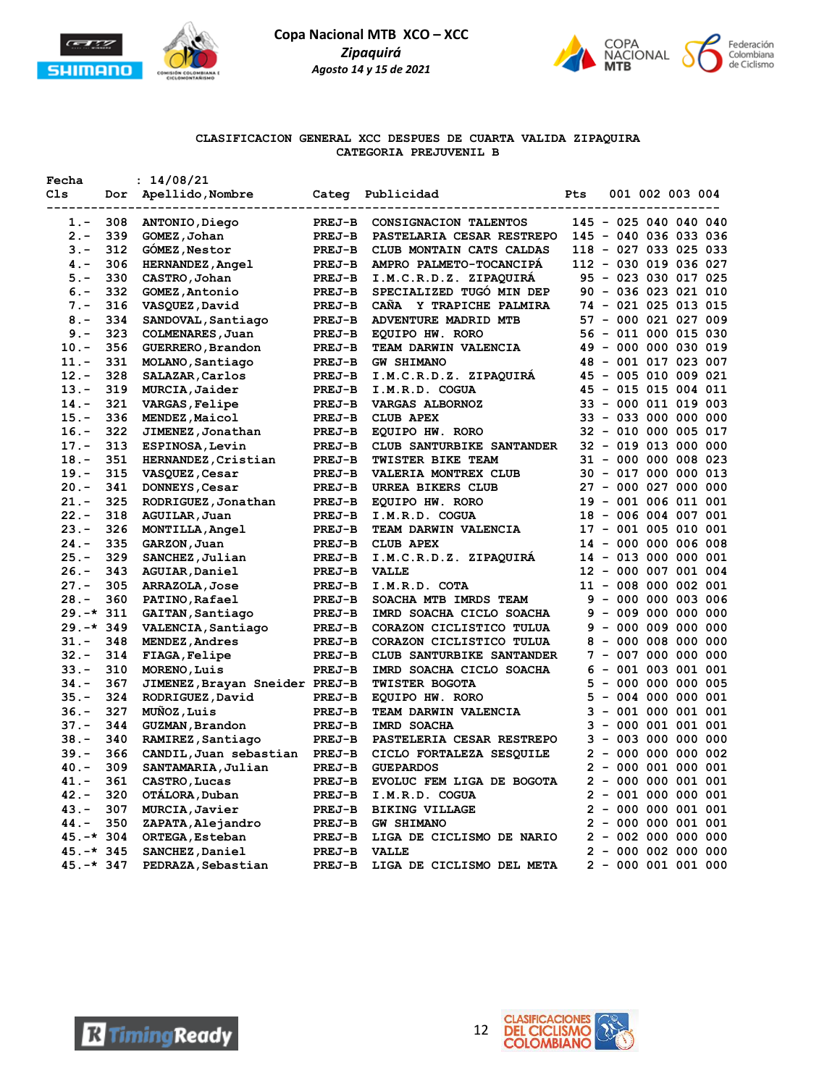

**Fecha : 14/08/21**

**Copa Nacional MTB XCO – XCC** *Zipaquirá Agosto 14 y 15 de 2021*



### **CLASIFICACION GENERAL XCC DESPUES DE CUARTA VALIDA ZIPAQUIRA CATEGORIA PREJUVENIL B**

| Cls          | Dor | Apellido, Nombre               | Categ         | Publicidad                  | Pts |       | 001 002 003 004 |                       |
|--------------|-----|--------------------------------|---------------|-----------------------------|-----|-------|-----------------|-----------------------|
| $1. -$       | 308 | ANTONIO, Diego                 | <b>PREJ-B</b> | CONSIGNACION TALENTOS       |     |       |                 | 145 - 025 040 040 040 |
| $2 -$        | 339 | GOMEZ, Johan                   | <b>PREJ-B</b> | PASTELARIA CESAR RESTREPO   |     |       |                 | 145 - 040 036 033 036 |
| $3 -$        | 312 | GOMEZ, Nestor                  | <b>PREJ-B</b> | CLUB MONTAIN CATS CALDAS    |     |       |                 | 118 - 027 033 025 033 |
| $4 -$        | 306 | HERNANDEZ, Angel               | <b>PREJ-B</b> | AMPRO PALMETO-TOCANCIPA     |     |       |                 | 112 - 030 019 036 027 |
| $5. -$       | 330 | CASTRO, Johan                  | <b>PREJ-B</b> | I.M.C.R.D.Z. ZIPAQUIRA      |     |       |                 | 95 - 023 030 017 025  |
| $6. -$       | 332 | GOMEZ, Antonio                 | <b>PREJ-B</b> | SPECIALIZED TUGO MIN DEP    |     |       |                 | 90 - 036 023 021 010  |
| $7 -$        | 316 | VASQUEZ, David                 | <b>PREJ-B</b> | CAÑA Y TRAPICHE PALMIRA     |     |       |                 | 74 - 021 025 013 015  |
| $8 -$        | 334 | SANDOVAL, Santiago             | <b>PREJ-B</b> | ADVENTURE MADRID MTB        |     |       |                 | 57 - 000 021 027 009  |
| $9 -$        | 323 | COLMENARES, Juan               | <b>PREJ-B</b> | EQUIPO HW. RORO             |     |       |                 | 56 - 011 000 015 030  |
| $10. -$      | 356 | GUERRERO, Brandon              | <b>PREJ-B</b> | <b>TEAM DARWIN VALENCIA</b> |     |       |                 | 49 - 000 000 030 019  |
| $11. -$      | 331 | MOLANO, Santiago               | <b>PREJ-B</b> | <b>GW SHIMANO</b>           |     |       |                 | 48 - 001 017 023 007  |
| $12 -$       | 328 | SALAZAR, Carlos                | <b>PREJ-B</b> | I.M.C.R.D.Z. ZIPAQUIRA      |     |       |                 | 45 - 005 010 009 021  |
| $13. -$      | 319 | MURCIA, Jaider                 | <b>PREJ-B</b> | I.M.R.D. COGUA              |     |       |                 | 45 - 015 015 004 011  |
| $14. -$      | 321 | VARGAS, Felipe                 | <b>PREJ-B</b> | <b>VARGAS ALBORNOZ</b>      |     |       |                 | 33 - 000 011 019 003  |
| $15. -$      | 336 | MENDEZ, Maicol                 | <b>PREJ-B</b> | <b>CLUB APEX</b>            |     |       |                 | 33 - 033 000 000 000  |
| $16. -$      | 322 | JIMENEZ, Jonathan              | <b>PREJ-B</b> | EQUIPO HW. RORO             |     |       |                 | 32 - 010 000 005 017  |
| $17. -$      | 313 | ESPINOSA, Levin                | <b>PREJ-B</b> | CLUB SANTURBIKE SANTANDER   |     |       |                 | 32 - 019 013 000 000  |
| $18. -$      | 351 | HERNANDEZ, Cristian            | PREJ-B        | TWISTER BIKE TEAM           |     |       |                 | 31 - 000 000 008 023  |
| $19. -$      | 315 | VASQUEZ, Cesar                 | <b>PREJ-B</b> | VALERIA MONTREX CLUB        |     |       |                 | 30 - 017 000 000 013  |
| $20. -$      | 341 | DONNEYS, Cesar                 | <b>PREJ-B</b> | URREA BIKERS CLUB           |     |       |                 | 27 - 000 027 000 000  |
| $21. -$      | 325 | RODRIGUEZ, Jonathan            | <b>PREJ-B</b> | EQUIPO HW. RORO             |     |       |                 | 19 - 001 006 011 001  |
| $22 -$       | 318 | AGUILAR, Juan                  | <b>PREJ-B</b> | I.M.R.D. COGUA              |     |       |                 | 18 - 006 004 007 001  |
| $23 -$       | 326 | MONTILLA, Angel                | <b>PREJ-B</b> | TEAM DARWIN VALENCIA        |     |       |                 | 17 - 001 005 010 001  |
| $24. -$      | 335 | GARZON, Juan                   | <b>PREJ-B</b> | <b>CLUB APEX</b>            |     |       |                 | 14 - 000 000 006 008  |
| $25. -$      | 329 | SANCHEZ, Julian                | <b>PREJ-B</b> | I.M.C.R.D.Z. ZIPAQUIRA      |     |       |                 | 14 - 013 000 000 001  |
| $26. -$      | 343 | AGUIAR, Daniel                 | <b>PREJ-B</b> | <b>VALLE</b>                |     |       |                 | 12 - 000 007 001 004  |
| $27. -$      | 305 | ARRAZOLA, Jose                 | PREJ-B        | I.M.R.D. COTA               |     |       |                 | 11 - 008 000 002 001  |
| $28. -$      | 360 | PATINO, Rafael                 | <b>PREJ-B</b> | SOACHA MTB IMRDS TEAM       |     |       |                 | $9 - 000 000 003 006$ |
| $29. -* 311$ |     | GAITAN, Santiago               | PREJ-B        | IMRD SOACHA CICLO SOACHA    |     |       |                 | $9 - 009 000 000 000$ |
| $29. -* 349$ |     | VALENCIA, Santiago             | PREJ-B        | CORAZON CICLISTICO TULUA    |     |       |                 | $9 - 000 009 000 000$ |
| $31 -$       | 348 | MENDEZ, Andres                 | <b>PREJ-B</b> | CORAZON CICLISTICO TULUA    |     |       |                 | $8 - 000 008 000 000$ |
| $32 -$       | 314 | <b>FIAGA, Felipe</b>           | <b>PREJ-B</b> | CLUB SANTURBIKE SANTANDER   |     | $7 -$ |                 | 007 000 000 000       |
| $33 -$       | 310 | MORENO, Luis                   | <b>PREJ-B</b> | IMRD SOACHA CICLO SOACHA    |     |       |                 | $6 - 001 003 001 001$ |
| $34. -$      | 367 | JIMENEZ, Brayan Sneider PREJ-B |               | TWISTER BOGOTA              | 5   |       |                 | $-0000000000005$      |
| $35. -$      | 324 | RODRIGUEZ, David               | <b>PREJ-B</b> | EQUIPO HW. RORO             | 5.  |       |                 | - 004 000 000 001     |
| $36. -$      | 327 | MUÑOZ, Luis                    | <b>PREJ-B</b> | TEAM DARWIN VALENCIA        | 3   |       |                 | $-001000001001$       |
| $37. -$      | 344 | GUZMAN, Brandon                | PREJ-B        | IMRD SOACHA                 | 3   |       |                 | $-000001001001$       |
| $38. -$      | 340 | RAMIREZ, Santiago              | <b>PREJ-B</b> | PASTELERIA CESAR RESTREPO   | 3   |       |                 | $-003000000000$       |
| $39. -$      | 366 | CANDIL, Juan sebastian         | <b>PREJ-B</b> | CICLO FORTALEZA SESQUILE    |     |       |                 | $2 - 0000000000002$   |
| $40. -$      | 309 | SANTAMARIA, Julian             | <b>PREJ-B</b> | <b>GUEPARDOS</b>            |     |       |                 | $2 - 000001000001$    |
| $41. -$      | 361 | CASTRO, Lucas                  | <b>PREJ-B</b> | EVOLUC FEM LIGA DE BOGOTA   |     |       |                 | $2 - 000000001001$    |
| $42 -$       | 320 | OTÁLORA, Duban                 | <b>PREJ-B</b> | I.M.R.D. COGUA              |     |       |                 | $2 - 001 000 000 001$ |
| $43. -$      | 307 | MURCIA, Javier                 | <b>PREJ-B</b> | <b>BIKING VILLAGE</b>       |     |       |                 | $2 - 000000001001$    |
| $44. -$      | 350 | ZAPATA, Alejandro              | <b>PREJ-B</b> | <b>GW SHIMANO</b>           |     |       |                 | $2 - 000000001001$    |
| $45.-*304$   |     | ORTEGA, Esteban                | PREJ-B        | LIGA DE CICLISMO DE NARIO   |     |       |                 | $2 - 002 000 000 000$ |
| $45. -* 345$ |     | SANCHEZ, Daniel                | <b>PREJ-B</b> | <b>VALLE</b>                |     |       |                 | $2 - 0000020000000$   |
| 45.-* 347    |     | PEDRAZA, Sebastian             | <b>PREJ-B</b> | LIGA DE CICLISMO DEL META   |     |       |                 | $2 - 000001001000$    |